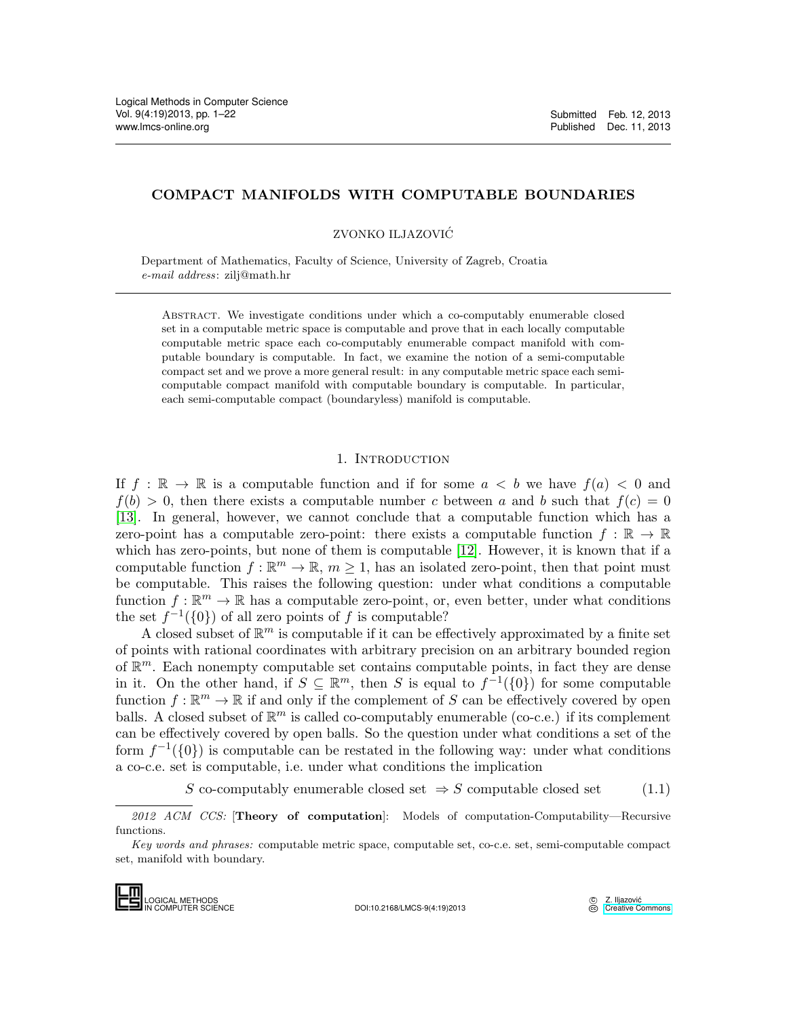# COMPACT MANIFOLDS WITH COMPUTABLE BOUNDARIES

ZVONKO ILJAZOVIC´

Department of Mathematics, Faculty of Science, University of Zagreb, Croatia e-mail address: zilj@math.hr

Abstract. We investigate conditions under which a co-computably enumerable closed set in a computable metric space is computable and prove that in each locally computable computable metric space each co-computably enumerable compact manifold with computable boundary is computable. In fact, we examine the notion of a semi-computable compact set and we prove a more general result: in any computable metric space each semicomputable compact manifold with computable boundary is computable. In particular, each semi-computable compact (boundaryless) manifold is computable.

# 1. INTRODUCTION

If  $f : \mathbb{R} \to \mathbb{R}$  is a computable function and if for some  $a < b$  we have  $f(a) < 0$  and  $f(b) > 0$ , then there exists a computable number c between a and b such that  $f(c) = 0$ [\[13\]](#page-21-0). In general, however, we cannot conclude that a computable function which has a zero-point has a computable zero-point: there exists a computable function  $f : \mathbb{R} \to \mathbb{R}$ which has zero-points, but none of them is computable [\[12\]](#page-21-1). However, it is known that if a computable function  $f : \mathbb{R}^m \to \mathbb{R}$ ,  $m \geq 1$ , has an isolated zero-point, then that point must be computable. This raises the following question: under what conditions a computable function  $f : \mathbb{R}^m \to \mathbb{R}$  has a computable zero-point, or, even better, under what conditions the set  $f^{-1}(\{0\})$  of all zero points of f is computable?

A closed subset of  $\mathbb{R}^m$  is computable if it can be effectively approximated by a finite set of points with rational coordinates with arbitrary precision on an arbitrary bounded region of  $\mathbb{R}^m$ . Each nonempty computable set contains computable points, in fact they are dense in it. On the other hand, if  $S \subseteq \mathbb{R}^m$ , then S is equal to  $f^{-1}(\{0\})$  for some computable function  $f : \mathbb{R}^m \to \mathbb{R}$  if and only if the complement of S can be effectively covered by open balls. A closed subset of  $\mathbb{R}^m$  is called co-computably enumerable (co-c.e.) if its complement can be effectively covered by open balls. So the question under what conditions a set of the form  $f^{-1}(\{0\})$  is computable can be restated in the following way: under what conditions a co-c.e. set is computable, i.e. under what conditions the implication

<span id="page-0-0"></span>S co-computably enumerable closed set  $\Rightarrow$  S computable closed set (1.1)

2012 ACM CCS: [Theory of computation]: Models of computation-Computability—Recursive functions. form  $f^{-1}(\{0\})$  is<br>a co-c.e. set is co<br> $S$  co-<br> $2012$  ACM CC;<br>functions.<br>Key words and p<br>set, manifold with b<br>set, manifold with b

Key words and phrases: computable metric space, computable set, co-c.e. set, semi-computable compact set, manifold with boundary.

IN COMPUTER SCIENCE DOI:10.2168/LMCS-9(4:19)2013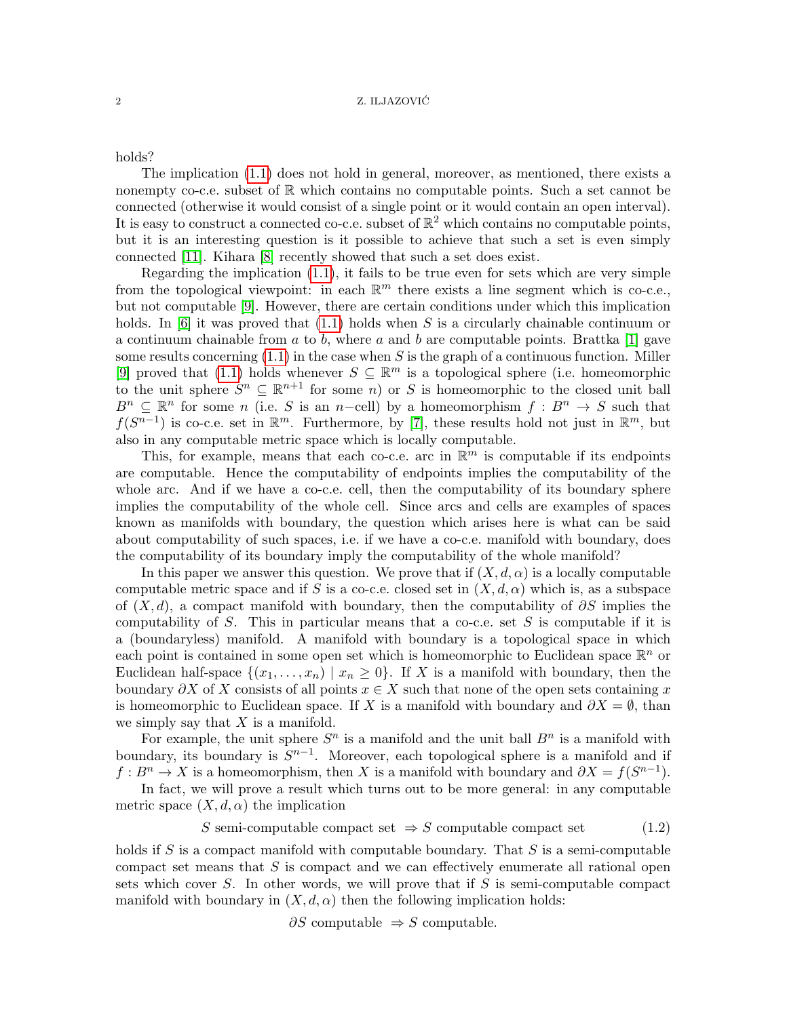holds?

The implication [\(1.1\)](#page-0-0) does not hold in general, moreover, as mentioned, there exists a nonempty co-c.e. subset of  $\mathbb R$  which contains no computable points. Such a set cannot be connected (otherwise it would consist of a single point or it would contain an open interval). It is easy to construct a connected co-c.e. subset of  $\mathbb{R}^2$  which contains no computable points, but it is an interesting question is it possible to achieve that such a set is even simply connected [\[11\]](#page-21-2). Kihara [\[8\]](#page-21-3) recently showed that such a set does exist.

Regarding the implication [\(1.1\)](#page-0-0), it fails to be true even for sets which are very simple from the topological viewpoint: in each  $\mathbb{R}^m$  there exists a line segment which is co-c.e., but not computable [\[9\]](#page-21-4). However, there are certain conditions under which this implication holds. In [\[6\]](#page-21-5) it was proved that  $(1.1)$  holds when S is a circularly chainable continuum or a continuum chainable from a to b, where a and b are computable points. Brattka [\[1\]](#page-20-0) gave some results concerning  $(1.1)$  in the case when S is the graph of a continuous function. Miller [\[9\]](#page-21-4) proved that [\(1.1\)](#page-0-0) holds whenever  $S \subseteq \mathbb{R}^m$  is a topological sphere (i.e. homeomorphic to the unit sphere  $S^n \subseteq \mathbb{R}^{n+1}$  for some n) or S is homeomorphic to the closed unit ball  $B^n \subseteq \mathbb{R}^n$  for some n (i.e. S is an n-cell) by a homeomorphism  $f : B^n \to S$  such that  $f(S^{n-1})$  is co-c.e. set in  $\mathbb{R}^m$ . Furthermore, by [\[7\]](#page-21-6), these results hold not just in  $\mathbb{R}^m$ , but also in any computable metric space which is locally computable.

This, for example, means that each co-c.e. arc in  $\mathbb{R}^m$  is computable if its endpoints are computable. Hence the computability of endpoints implies the computability of the whole arc. And if we have a co-c.e. cell, then the computability of its boundary sphere implies the computability of the whole cell. Since arcs and cells are examples of spaces known as manifolds with boundary, the question which arises here is what can be said about computability of such spaces, i.e. if we have a co-c.e. manifold with boundary, does the computability of its boundary imply the computability of the whole manifold?

In this paper we answer this question. We prove that if  $(X, d, \alpha)$  is a locally computable computable metric space and if S is a co-c.e. closed set in  $(X, d, \alpha)$  which is, as a subspace of  $(X, d)$ , a compact manifold with boundary, then the computability of  $\partial S$  implies the computability of S. This in particular means that a co-c.e. set S is computable if it is a (boundaryless) manifold. A manifold with boundary is a topological space in which each point is contained in some open set which is homeomorphic to Euclidean space  $\mathbb{R}^n$  or Euclidean half-space  $\{(x_1, \ldots, x_n) \mid x_n \geq 0\}$ . If X is a manifold with boundary, then the boundary  $\partial X$  of X consists of all points  $x \in X$  such that none of the open sets containing x is homeomorphic to Euclidean space. If X is a manifold with boundary and  $\partial X = \emptyset$ , than we simply say that  $X$  is a manifold.

For example, the unit sphere  $S^n$  is a manifold and the unit ball  $B^n$  is a manifold with boundary, its boundary is  $S^{n-1}$ . Moreover, each topological sphere is a manifold and if  $f: B<sup>n</sup> \to X$  is a homeomorphism, then X is a manifold with boundary and  $\partial X = f(S^{n-1})$ .

In fact, we will prove a result which turns out to be more general: in any computable metric space  $(X, d, \alpha)$  the implication

$$
S \text{ semi-computable compact set } \Rightarrow S \text{ computable compact set } (1.2)
$$

holds if S is a compact manifold with computable boundary. That S is a semi-computable compact set means that  $S$  is compact and we can effectively enumerate all rational open sets which cover S. In other words, we will prove that if S is semi-computable compact manifold with boundary in  $(X, d, \alpha)$  then the following implication holds:

 $∂S$  computable  $⇒$  S computable.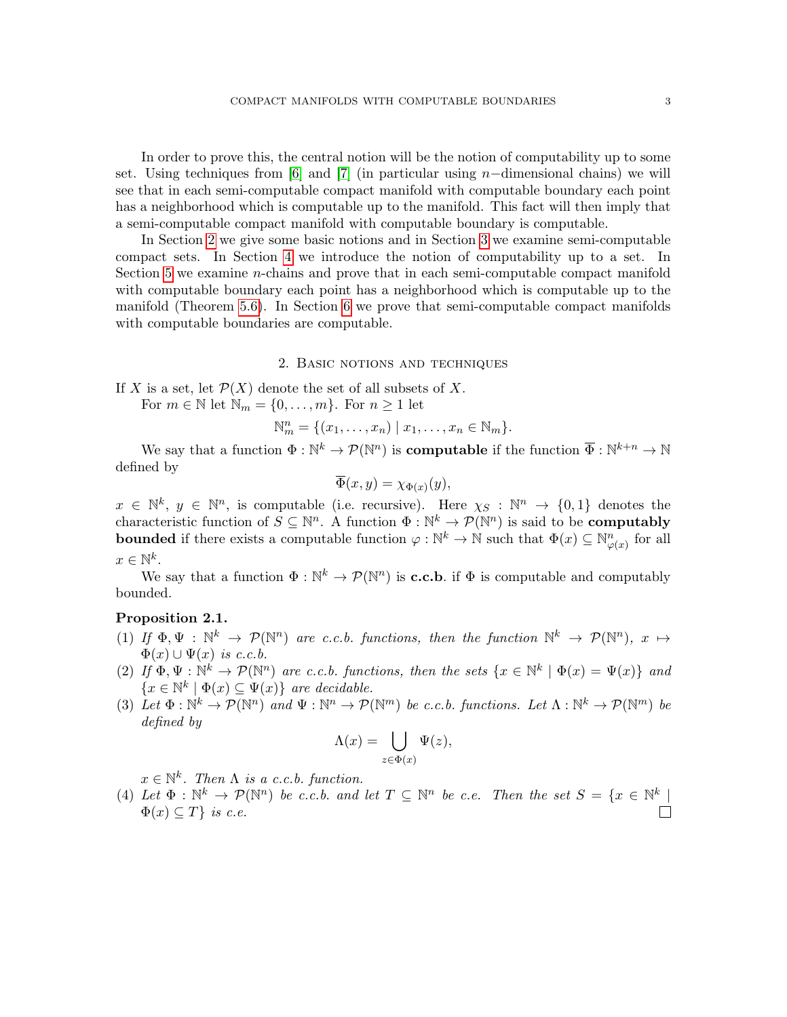In order to prove this, the central notion will be the notion of computability up to some set. Using techniques from [\[6\]](#page-21-5) and [\[7\]](#page-21-6) (in particular using  $n-$ dimensional chains) we will see that in each semi-computable compact manifold with computable boundary each point has a neighborhood which is computable up to the manifold. This fact will then imply that a semi-computable compact manifold with computable boundary is computable.

In Section [2](#page-2-0) we give some basic notions and in Section [3](#page-7-0) we examine semi-computable compact sets. In Section [4](#page-8-0) we introduce the notion of computability up to a set. In Section [5](#page-9-0) we examine n-chains and prove that in each semi-computable compact manifold with computable boundary each point has a neighborhood which is computable up to the manifold (Theorem [5.6\)](#page-12-0). In Section [6](#page-18-0) we prove that semi-computable compact manifolds with computable boundaries are computable.

## 2. Basic notions and techniques

<span id="page-2-0"></span>If X is a set, let  $\mathcal{P}(X)$  denote the set of all subsets of X.

For  $m \in \mathbb{N}$  let  $\mathbb{N}_m = \{0, \ldots, m\}$ . For  $n \geq 1$  let

 $\mathbb{N}_m^n = \{ (x_1, \ldots, x_n) \mid x_1, \ldots, x_n \in \mathbb{N}_m \}.$ 

We say that a function  $\Phi: \mathbb{N}^k \to \mathcal{P}(\mathbb{N}^n)$  is **computable** if the function  $\overline{\Phi}: \mathbb{N}^{k+n} \to \mathbb{N}$ defined by

$$
\Phi(x, y) = \chi_{\Phi(x)}(y),
$$

 $x \in \mathbb{N}^k$ ,  $y \in \mathbb{N}^n$ , is computable (i.e. recursive). Here  $\chi_S : \mathbb{N}^n \to \{0,1\}$  denotes the characteristic function of  $S \subseteq \mathbb{N}^n$ . A function  $\Phi : \mathbb{N}^k \to \mathcal{P}(\mathbb{N}^n)$  is said to be **computably bounded** if there exists a computable function  $\varphi : \mathbb{N}^k \to \mathbb{N}$  such that  $\Phi(x) \subseteq \mathbb{N}_{\varphi(x)}^n$  for all  $x \in \mathbb{N}^k$ .

We say that a function  $\Phi : \mathbb{N}^k \to \mathcal{P}(\mathbb{N}^n)$  is **c.c.b**. if  $\Phi$  is computable and computably bounded.

## <span id="page-2-1"></span>Proposition 2.1.

- (1) If  $\Phi, \Psi : \mathbb{N}^k \to \mathcal{P}(\mathbb{N}^n)$  are c.c.b. functions, then the function  $\mathbb{N}^k \to \mathcal{P}(\mathbb{N}^n)$ ,  $x \mapsto$  $\Phi(x) \cup \Psi(x)$  is c.c.b.
- (2) If  $\Phi, \Psi : \mathbb{N}^k \to \mathcal{P}(\mathbb{N}^n)$  are c.c.b. functions, then the sets  $\{x \in \mathbb{N}^k \mid \Phi(x) = \Psi(x)\}\$ and  ${x \in \mathbb{N}^k \mid \Phi(x) \subseteq \Psi(x)}$  are decidable.
- (3) Let  $\Phi: \mathbb{N}^k \to \mathcal{P}(\mathbb{N}^n)$  and  $\Psi: \mathbb{N}^n \to \mathcal{P}(\mathbb{N}^m)$  be c.c.b. functions. Let  $\Lambda: \mathbb{N}^k \to \mathcal{P}(\mathbb{N}^m)$  be defined by

$$
\Lambda(x) = \bigcup_{z \in \Phi(x)} \Psi(z),
$$

 $x \in \mathbb{N}^k$ . Then  $\Lambda$  is a c.c.b. function.

(4) Let  $\Phi: \mathbb{N}^k \to \mathcal{P}(\mathbb{N}^n)$  be c.c.b. and let  $T \subseteq \mathbb{N}^n$  be c.e. Then the set  $S = \{x \in \mathbb{N}^k \mid$  $\Phi(x) \subseteq T$  *is c.e.*  $\Box$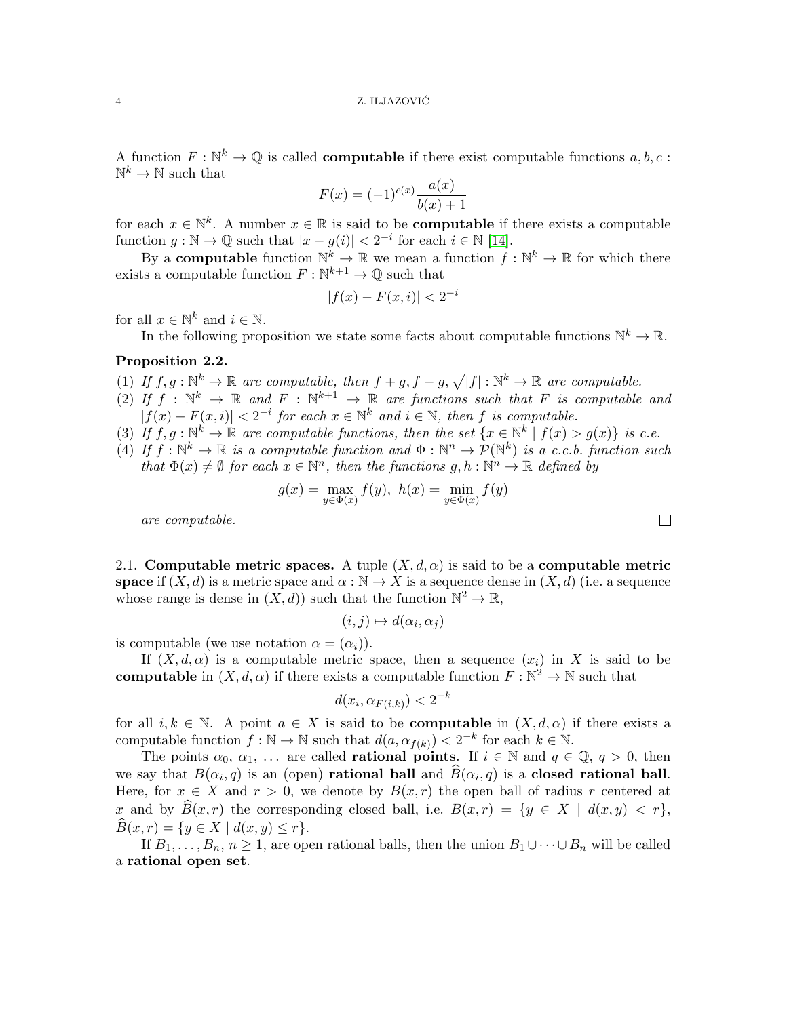A function  $F: \mathbb{N}^k \to \mathbb{Q}$  is called **computable** if there exist computable functions  $a, b, c$ :  $\mathbb{N}^k \to \mathbb{N}$  such that

$$
F(x) = (-1)^{c(x)} \frac{a(x)}{b(x) + 1}
$$

for each  $x \in \mathbb{N}^k$ . A number  $x \in \mathbb{R}$  is said to be **computable** if there exists a computable function  $g : \mathbb{N} \to \mathbb{Q}$  such that  $|x - g(i)| < 2^{-i}$  for each  $i \in \mathbb{N}$  [\[14\]](#page-21-7).

By a **computable** function  $\mathbb{N}^k \to \mathbb{R}$  we mean a function  $f : \mathbb{N}^k \to \mathbb{R}$  for which there exists a computable function  $F: \mathbb{N}^{k+1} \to \mathbb{Q}$  such that

$$
|f(x) - F(x, i)| < 2^{-i}
$$

for all  $x \in \mathbb{N}^k$  and  $i \in \mathbb{N}$ .

In the following proposition we state some facts about computable functions  $\mathbb{N}^k \to \mathbb{R}$ .

## <span id="page-3-0"></span>Proposition 2.2.

- (1) If  $f, g: \mathbb{N}^k \to \mathbb{R}$  are computable, then  $f + g, f g, \sqrt{|f|} : \mathbb{N}^k \to \mathbb{R}$  are computable.
- (2) If  $f : \mathbb{N}^k \to \mathbb{R}$  and  $F : \mathbb{N}^{k+1} \to \mathbb{R}$  are functions such that F is computable and  $|f(x) - F(x, i)| < 2^{-i}$  for each  $x \in \mathbb{N}^k$  and  $i \in \mathbb{N}$ , then f is computable.
- (3) If  $f, g: \mathbb{N}^k \to \mathbb{R}$  are computable functions, then the set  $\{x \in \mathbb{N}^k \mid f(x) > g(x)\}\$ is c.e.
- (4) If  $f: \mathbb{N}^k \to \mathbb{R}$  is a computable function and  $\Phi: \mathbb{N}^n \to \mathcal{P}(\mathbb{N}^k)$  is a c.c.b. function such that  $\Phi(x) \neq \emptyset$  for each  $x \in \mathbb{N}^n$ , then the functions  $g, h : \mathbb{N}^n \to \mathbb{R}$  defined by

$$
g(x) = \max_{y \in \Phi(x)} f(y), \quad h(x) = \min_{y \in \Phi(x)} f(y)
$$

are computable.

2.1. Computable metric spaces. A tuple  $(X, d, \alpha)$  is said to be a computable metric space if  $(X, d)$  is a metric space and  $\alpha : \mathbb{N} \to X$  is a sequence dense in  $(X, d)$  (i.e. a sequence whose range is dense in  $(X, d)$  such that the function  $\mathbb{N}^2 \to \mathbb{R}$ ,

$$
(i,j) \mapsto d(\alpha_i, \alpha_j)
$$

is computable (we use notation  $\alpha = (\alpha_i)$ ).

If  $(X, d, \alpha)$  is a computable metric space, then a sequence  $(x_i)$  in X is said to be **computable** in  $(X, d, \alpha)$  if there exists a computable function  $F : \mathbb{N}^2 \to \mathbb{N}$  such that

$$
d(x_i, \alpha_{F(i,k)}) < 2^{-k}
$$

for all  $i, k \in \mathbb{N}$ . A point  $a \in X$  is said to be **computable** in  $(X, d, \alpha)$  if there exists a computable function  $f : \mathbb{N} \to \mathbb{N}$  such that  $d(a, \alpha_{f(k)}) < 2^{-k}$  for each  $k \in \mathbb{N}$ .

The points  $\alpha_0, \alpha_1, \ldots$  are called **rational points**. If  $i \in \mathbb{N}$  and  $q \in \mathbb{Q}$ ,  $q > 0$ , then we say that  $B(\alpha_i, q)$  is an (open) **rational ball** and  $B(\alpha_i, q)$  is a **closed rational ball**. Here, for  $x \in X$  and  $r > 0$ , we denote by  $B(x,r)$  the open ball of radius r centered at x and by  $\widehat{B}(x,r)$  the corresponding closed ball, i.e.  $B(x,r) = \{y \in X \mid d(x,y) < r\},\$  $\widehat{B}(x, r) = \{y \in X \mid d(x, y) \leq r\}.$ 

If  $B_1, \ldots, B_n, n \geq 1$ , are open rational balls, then the union  $B_1 \cup \cdots \cup B_n$  will be called a rational open set.

 $\Box$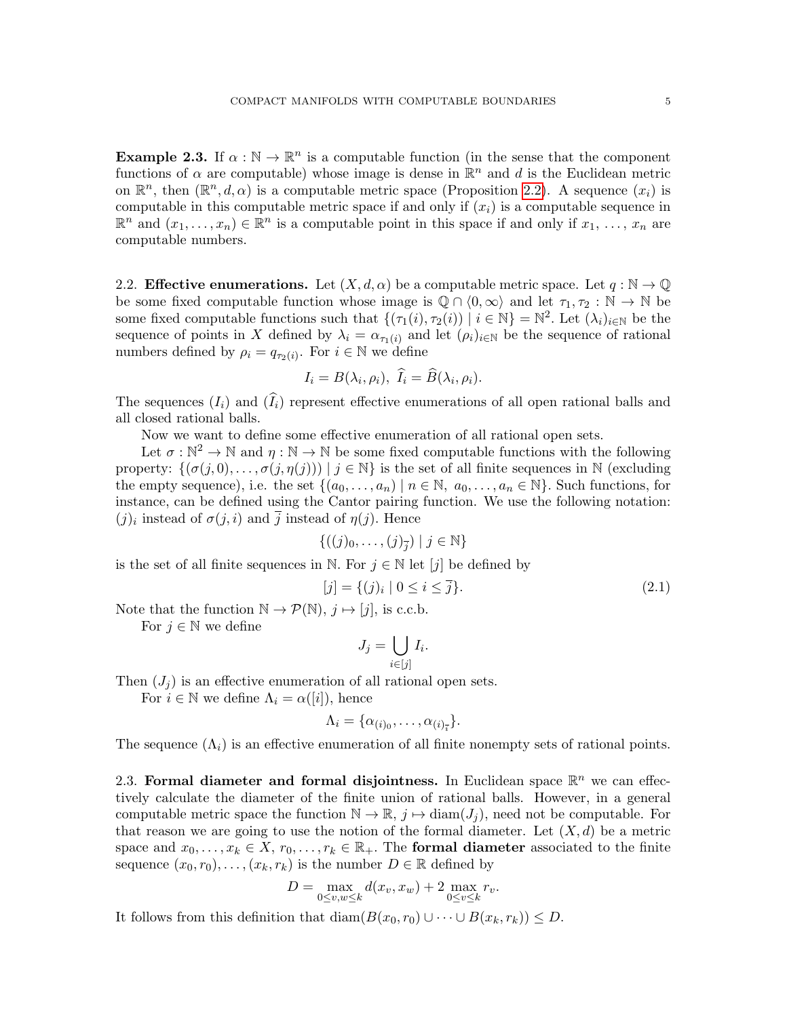<span id="page-4-0"></span>**Example 2.3.** If  $\alpha : \mathbb{N} \to \mathbb{R}^n$  is a computable function (in the sense that the component functions of  $\alpha$  are computable) whose image is dense in  $\mathbb{R}^n$  and d is the Euclidean metric on  $\mathbb{R}^n$ , then  $(\mathbb{R}^n, d, \alpha)$  is a computable metric space (Proposition [2.2\)](#page-3-0). A sequence  $(x_i)$  is computable in this computable metric space if and only if  $(x_i)$  is a computable sequence in  $\mathbb{R}^n$  and  $(x_1, \ldots, x_n) \in \mathbb{R}^n$  is a computable point in this space if and only if  $x_1, \ldots, x_n$  are computable numbers.

2.2. **Effective enumerations.** Let  $(X, d, \alpha)$  be a computable metric space. Let  $q : \mathbb{N} \to \mathbb{Q}$ be some fixed computable function whose image is  $\mathbb{Q} \cap \langle 0, \infty \rangle$  and let  $\tau_1, \tau_2 : \mathbb{N} \to \mathbb{N}$  be some fixed computable functions such that  $\{(\tau_1(i), \tau_2(i)) \mid i \in \mathbb{N}\} = \mathbb{N}^2$ . Let  $(\lambda_i)_{i \in \mathbb{N}}$  be the sequence of points in X defined by  $\lambda_i = \alpha_{\tau_1(i)}$  and let  $(\rho_i)_{i \in \mathbb{N}}$  be the sequence of rational numbers defined by  $\rho_i = q_{\tau_2(i)}$ . For  $i \in \mathbb{N}$  we define

$$
I_i = B(\lambda_i, \rho_i), \ \widehat{I}_i = \widehat{B}(\lambda_i, \rho_i).
$$

The sequences  $(I_i)$  and  $(\widehat{I}_i)$  represent effective enumerations of all open rational balls and all closed rational balls.

Now we want to define some effective enumeration of all rational open sets.

Let  $\sigma : \mathbb{N}^2 \to \mathbb{N}$  and  $\eta : \mathbb{N} \to \mathbb{N}$  be some fixed computable functions with the following property:  $\{(\sigma(j, 0), \ldots, \sigma(j, \eta(j))) \mid j \in \mathbb{N}\}\$ is the set of all finite sequences in N (excluding the empty sequence), i.e. the set  $\{(a_0, \ldots, a_n) \mid n \in \mathbb{N}, a_0, \ldots, a_n \in \mathbb{N}\}\.$  Such functions, for instance, can be defined using the Cantor pairing function. We use the following notation:  $(j)_i$  instead of  $\sigma(j, i)$  and j instead of  $\eta(j)$ . Hence

$$
\{((j)_0,\ldots,(j)_{\overline{j}})\mid j\in\mathbb{N}\}
$$

is the set of all finite sequences in N. For  $j \in \mathbb{N}$  let  $[j]$  be defined by

$$
[j] = \{(j)_i \mid 0 \le i \le \overline{j}\}.
$$
\n(2.1)

Note that the function  $\mathbb{N} \to \mathcal{P}(\mathbb{N}), j \mapsto [j]$ , is c.c.b.

For  $j \in \mathbb{N}$  we define

$$
J_j = \bigcup_{i \in [j]} I_i.
$$

Then  $(J_j)$  is an effective enumeration of all rational open sets.

For  $i \in \mathbb{N}$  we define  $\Lambda_i = \alpha([i])$ , hence

$$
\Lambda_i = \{ \alpha_{(i)_0}, \ldots, \alpha_{(i)_{\overline{i}}} \}.
$$

The sequence  $(\Lambda_i)$  is an effective enumeration of all finite nonempty sets of rational points.

2.3. Formal diameter and formal disjointness. In Euclidean space  $\mathbb{R}^n$  we can effectively calculate the diameter of the finite union of rational balls. However, in a general computable metric space the function  $\mathbb{N} \to \mathbb{R}$ ,  $j \mapsto \text{diam}(J_i)$ , need not be computable. For that reason we are going to use the notion of the formal diameter. Let  $(X, d)$  be a metric space and  $x_0, \ldots, x_k \in X$ ,  $r_0, \ldots, r_k \in \mathbb{R}_+$ . The **formal diameter** associated to the finite sequence  $(x_0, r_0), \ldots, (x_k, r_k)$  is the number  $D \in \mathbb{R}$  defined by

$$
D = \max_{0 \le v, w \le k} d(x_v, x_w) + 2 \max_{0 \le v \le k} r_v.
$$

It follows from this definition that  $\text{diam}(B(x_0, r_0) \cup \cdots \cup B(x_k, r_k)) \leq D$ .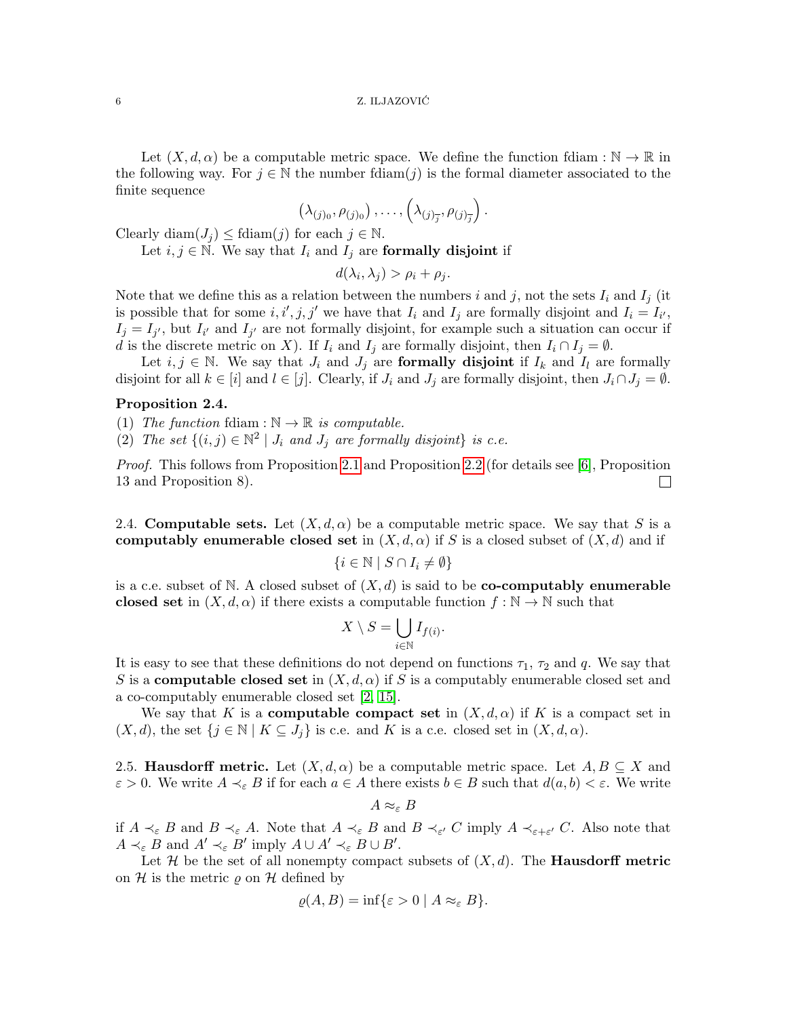#### $\sim$  Z. ILJAZOVIĆ

Let  $(X, d, \alpha)$  be a computable metric space. We define the function fdiam :  $\mathbb{N} \to \mathbb{R}$  in the following way. For  $j \in \mathbb{N}$  the number fdiam(j) is the formal diameter associated to the finite sequence

$$
\left(\lambda_{(j)_0}, \rho_{(j)_0}\right), \ldots, \left(\lambda_{(j)_{\overline{j}}}, \rho_{(j)_{\overline{j}}}\right)
$$

.

Clearly diam $(J_i) \leq \text{fdiam}(j)$  for each  $j \in \mathbb{N}$ .

Let  $i, j \in \mathbb{N}$ . We say that  $I_i$  and  $I_j$  are **formally disjoint** if

$$
d(\lambda_i, \lambda_j) > \rho_i + \rho_j.
$$

Note that we define this as a relation between the numbers i and j, not the sets  $I_i$  and  $I_j$  (it is possible that for some  $i, i', j, j'$  we have that  $I_i$  and  $I_j$  are formally disjoint and  $I_i = I_{i'}$ ,  $I_j = I_{j'}$ , but  $I_{i'}$  and  $I_{j'}$  are not formally disjoint, for example such a situation can occur if d is the discrete metric on X). If  $I_i$  and  $I_j$  are formally disjoint, then  $I_i \cap I_j = \emptyset$ .

Let  $i, j \in \mathbb{N}$ . We say that  $J_i$  and  $J_j$  are **formally disjoint** if  $I_k$  and  $I_l$  are formally disjoint for all  $k \in [i]$  and  $l \in [j]$ . Clearly, if  $J_i$  and  $J_j$  are formally disjoint, then  $J_i \cap J_j = \emptyset$ .

### <span id="page-5-0"></span>Proposition 2.4.

(1) The function for  $\mathbb{R} \to \mathbb{R}$  is computable.

(2) The set  $\{(i, j) \in \mathbb{N}^2 \mid J_i \text{ and } J_j \text{ are formally disjoint}\}\$ is c.e.

Proof. This follows from Proposition [2.1](#page-2-1) and Proposition [2.2](#page-3-0) (for details see [\[6\]](#page-21-5), Proposition 13 and Proposition 8).  $\Box$ 

2.4. Computable sets. Let  $(X, d, \alpha)$  be a computable metric space. We say that S is a computably enumerable closed set in  $(X, d, \alpha)$  if S is a closed subset of  $(X, d)$  and if

$$
\{i\in\mathbb{N}\mid S\cap I_i\neq\emptyset\}
$$

is a c.e. subset of N. A closed subset of  $(X, d)$  is said to be **co-computably enumerable** closed set in  $(X, d, \alpha)$  if there exists a computable function  $f : \mathbb{N} \to \mathbb{N}$  such that

$$
X \setminus S = \bigcup_{i \in \mathbb{N}} I_{f(i)}.
$$

It is easy to see that these definitions do not depend on functions  $\tau_1$ ,  $\tau_2$  and q. We say that S is a computable closed set in  $(X, d, \alpha)$  if S is a computably enumerable closed set and a co-computably enumerable closed set [\[2,](#page-20-1) [15\]](#page-21-8).

We say that K is a **computable compact set** in  $(X, d, \alpha)$  if K is a compact set in  $(X, d)$ , the set  $\{j \in \mathbb{N} \mid K \subseteq J_j\}$  is c.e. and K is a c.e. closed set in  $(X, d, \alpha)$ .

2.5. **Hausdorff metric.** Let  $(X, d, \alpha)$  be a computable metric space. Let  $A, B \subseteq X$  and  $\varepsilon > 0$ . We write  $A \prec_{\varepsilon} B$  if for each  $a \in A$  there exists  $b \in B$  such that  $d(a, b) < \varepsilon$ . We write

$$
A \approx_{\varepsilon} B
$$

if  $A \prec_{\varepsilon} B$  and  $B \prec_{\varepsilon} A$ . Note that  $A \prec_{\varepsilon} B$  and  $B \prec_{\varepsilon'} C$  imply  $A \prec_{\varepsilon+\varepsilon'} C$ . Also note that  $A \prec_{\varepsilon} B$  and  $A' \prec_{\varepsilon} B'$  imply  $A \cup A' \prec_{\varepsilon} B \cup B'$ .

Let  $\mathcal H$  be the set of all nonempty compact subsets of  $(X, d)$ . The **Hausdorff metric** on  $\mathcal H$  is the metric  $\rho$  on  $\mathcal H$  defined by

$$
\varrho(A,B) = \inf \{ \varepsilon > 0 \mid A \approx_{\varepsilon} B \}.
$$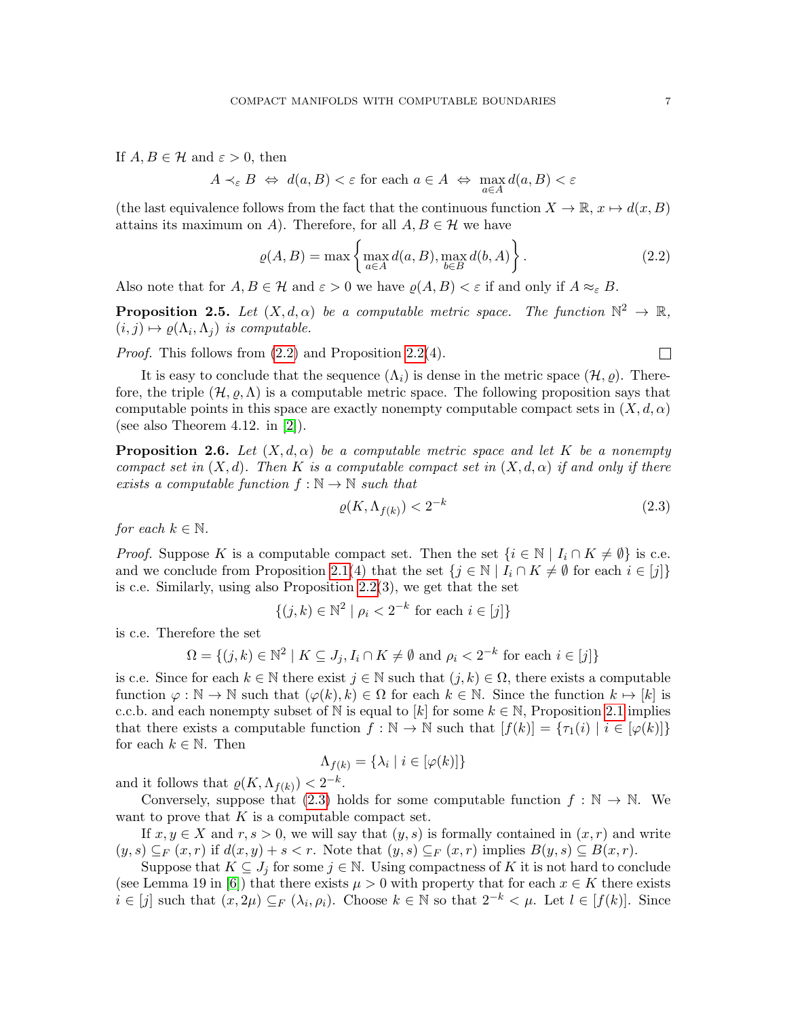If  $A, B \in \mathcal{H}$  and  $\varepsilon > 0$ , then

$$
A \prec_{\varepsilon} B \Leftrightarrow d(a, B) < \varepsilon \text{ for each } a \in A \Leftrightarrow \max_{a \in A} d(a, B) < \varepsilon
$$

(the last equivalence follows from the fact that the continuous function  $X \to \mathbb{R}, x \mapsto d(x, B)$ ) attains its maximum on A). Therefore, for all  $A, B \in \mathcal{H}$  we have

<span id="page-6-0"></span>
$$
\varrho(A, B) = \max \left\{ \max_{a \in A} d(a, B), \max_{b \in B} d(b, A) \right\}.
$$
 (2.2)

Also note that for  $A, B \in \mathcal{H}$  and  $\varepsilon > 0$  we have  $\rho(A, B) < \varepsilon$  if and only if  $A \approx_{\varepsilon} B$ .

**Proposition 2.5.** Let  $(X, d, \alpha)$  be a computable metric space. The function  $\mathbb{N}^2 \to \mathbb{R}$ ,  $(i, j) \mapsto \varrho(\Lambda_i, \Lambda_j)$  is computable.

Proof. This follows from [\(2.2\)](#page-6-0) and Proposition [2.2\(](#page-3-0)4).

 $\Box$ 

It is easy to conclude that the sequence  $(\Lambda_i)$  is dense in the metric space  $(\mathcal{H}, \rho)$ . Therefore, the triple  $(\mathcal{H}, \rho, \Lambda)$  is a computable metric space. The following proposition says that computable points in this space are exactly nonempty computable compact sets in  $(X, d, \alpha)$ (see also Theorem 4.12. in [\[2\]](#page-20-1)).

<span id="page-6-2"></span>**Proposition 2.6.** Let  $(X, d, \alpha)$  be a computable metric space and let K be a nonempty compact set in  $(X, d)$ . Then K is a computable compact set in  $(X, d, \alpha)$  if and only if there exists a computable function  $f : \mathbb{N} \to \mathbb{N}$  such that

<span id="page-6-1"></span>
$$
\varrho(K, \Lambda_{f(k)}) < 2^{-k} \tag{2.3}
$$

for each  $k \in \mathbb{N}$ .

*Proof.* Suppose K is a computable compact set. Then the set  $\{i \in \mathbb{N} \mid I_i \cap K \neq \emptyset\}$  is c.e. and we conclude from Proposition [2.1\(](#page-2-1)4) that the set  $\{j \in \mathbb{N} \mid I_i \cap K \neq \emptyset \}$  for each  $i \in [j]\}$ is c.e. Similarly, using also Proposition [2.2\(](#page-3-0)3), we get that the set

$$
\{(j,k)\in\mathbb{N}^2 \mid \rho_i < 2^{-k} \text{ for each } i \in [j]\}
$$

is c.e. Therefore the set

$$
\Omega = \{ (j,k) \in \mathbb{N}^2 \mid K \subseteq J_j, I_i \cap K \neq \emptyset \text{ and } \rho_i < 2^{-k} \text{ for each } i \in [j] \}
$$

is c.e. Since for each  $k \in \mathbb{N}$  there exist  $j \in \mathbb{N}$  such that  $(j, k) \in \Omega$ , there exists a computable function  $\varphi : \mathbb{N} \to \mathbb{N}$  such that  $(\varphi(k), k) \in \Omega$  for each  $k \in \mathbb{N}$ . Since the function  $k \mapsto [k]$  is c.c.b. and each nonempty subset of N is equal to [k] for some  $k \in \mathbb{N}$ , Proposition [2.1](#page-2-1) implies that there exists a computable function  $f : \mathbb{N} \to \mathbb{N}$  such that  $[f(k)] = \{\tau_1(i) | i \in [\varphi(k)]\}$ for each  $k \in \mathbb{N}$ . Then

$$
\Lambda_{f(k)} = \{\lambda_i \mid i \in [\varphi(k)]\}
$$

and it follows that  $\rho(K, \Lambda_{f(k)}) < 2^{-k}$ .

Conversely, suppose that [\(2.3\)](#page-6-1) holds for some computable function  $f : \mathbb{N} \to \mathbb{N}$ . We want to prove that  $K$  is a computable compact set.

If  $x, y \in X$  and  $r, s > 0$ , we will say that  $(y, s)$  is formally contained in  $(x, r)$  and write  $(y, s) \subseteq_F (x, r)$  if  $d(x, y) + s < r$ . Note that  $(y, s) \subseteq_F (x, r)$  implies  $B(y, s) \subseteq B(x, r)$ .

Suppose that  $K \subseteq J_j$  for some  $j \in \mathbb{N}$ . Using compactness of K it is not hard to conclude (see Lemma 19 in [\[6\]](#page-21-5)) that there exists  $\mu > 0$  with property that for each  $x \in K$  there exists  $i \in [j]$  such that  $(x, 2\mu) \subseteq_F (\lambda_i, \rho_i)$ . Choose  $k \in \mathbb{N}$  so that  $2^{-k} < \mu$ . Let  $l \in [f(k)]$ . Since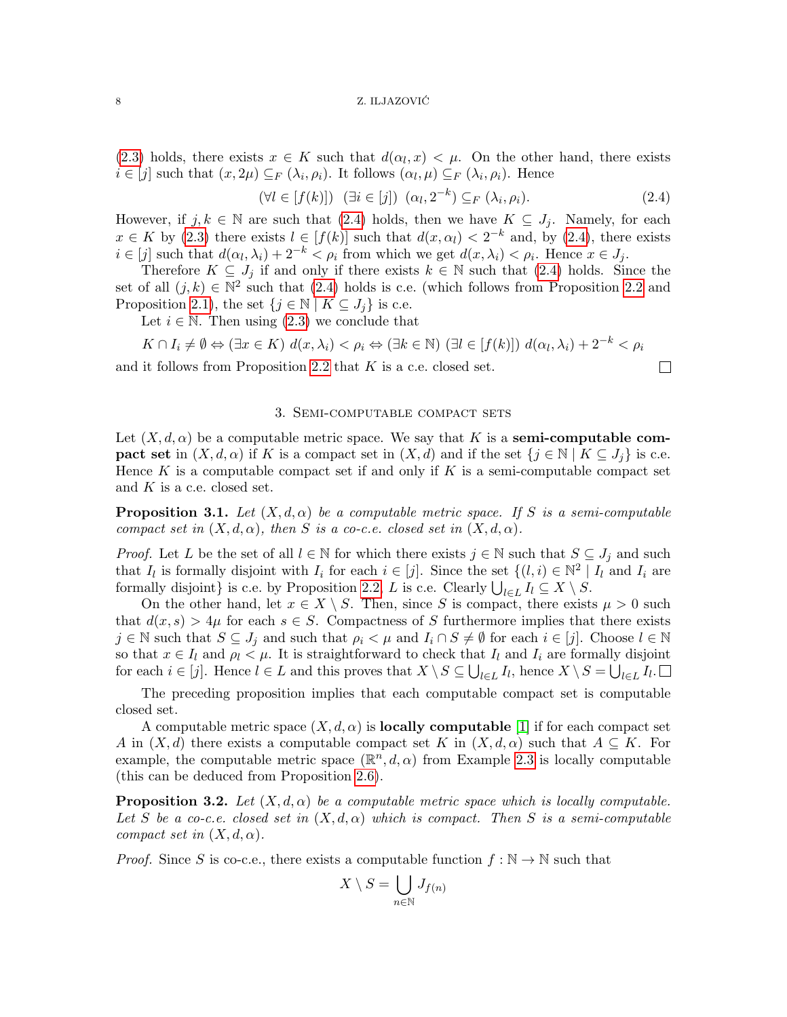#### 8 Z. ILJAZOVIC´

[\(2.3\)](#page-6-1) holds, there exists  $x \in K$  such that  $d(\alpha_l, x) < \mu$ . On the other hand, there exists  $i \in [j]$  such that  $(x, 2\mu) \subseteq_F (\lambda_i, \rho_i)$ . It follows  $(\alpha_l, \mu) \subseteq_F (\lambda_i, \rho_i)$ . Hence

<span id="page-7-1"></span>
$$
(\forall l \in [f(k)]) \quad (\exists i \in [j]) \quad (\alpha_l, 2^{-k}) \subseteq_F (\lambda_i, \rho_i). \tag{2.4}
$$

 $\Box$ 

However, if  $j, k \in \mathbb{N}$  are such that [\(2.4\)](#page-7-1) holds, then we have  $K \subseteq J_i$ . Namely, for each  $x \in K$  by [\(2.3\)](#page-6-1) there exists  $l \in [f(k)]$  such that  $d(x, \alpha_l) < 2^{-k}$  and, by [\(2.4\)](#page-7-1), there exists  $i \in [j]$  such that  $d(\alpha_l, \lambda_i) + 2^{-k} < \rho_i$  from which we get  $d(x, \lambda_i) < \rho_i$ . Hence  $x \in J_j$ .

Therefore  $K \subseteq J_i$  if and only if there exists  $k \in \mathbb{N}$  such that [\(2.4\)](#page-7-1) holds. Since the set of all  $(j, k) \in \mathbb{N}^2$  such that  $(2.4)$  holds is c.e. (which follows from Proposition [2.2](#page-3-0) and Proposition [2.1\)](#page-2-1), the set  $\{j \in \mathbb{N} \mid K \subseteq J_j\}$  is c.e.

Let  $i \in \mathbb{N}$ . Then using  $(2.3)$  we conclude that

$$
K \cap I_i \neq \emptyset \Leftrightarrow (\exists x \in K) \ d(x, \lambda_i) < \rho_i \Leftrightarrow (\exists k \in \mathbb{N}) \ (\exists l \in [f(k)]) \ d(\alpha_l, \lambda_i) + 2^{-k} < \rho_i
$$

and it follows from Proposition [2.2](#page-3-0) that  $K$  is a c.e. closed set.

# 3. Semi-computable compact sets

<span id="page-7-0"></span>Let  $(X, d, \alpha)$  be a computable metric space. We say that K is a **semi-computable com**pact set in  $(X, d, \alpha)$  if K is a compact set in  $(X, d)$  and if the set  $\{j \in \mathbb{N} \mid K \subseteq J_j\}$  is c.e. Hence  $K$  is a computable compact set if and only if  $K$  is a semi-computable compact set and  $K$  is a c.e. closed set.

**Proposition 3.1.** Let  $(X, d, \alpha)$  be a computable metric space. If S is a semi-computable compact set in  $(X, d, \alpha)$ , then S is a co-c.e. closed set in  $(X, d, \alpha)$ .

*Proof.* Let L be the set of all  $l \in \mathbb{N}$  for which there exists  $j \in \mathbb{N}$  such that  $S \subseteq J_j$  and such that  $I_l$  is formally disjoint with  $I_i$  for each  $i \in [j]$ . Since the set  $\{(l, i) \in \mathbb{N}^2 \mid I_l \text{ and } I_i \text{ are }$ formally disjoint} is c.e. by Proposition [2.2,](#page-3-0) L is c.e. Clearly  $\bigcup_{l\in L} I_l \subseteq X\setminus S$ .

On the other hand, let  $x \in X \setminus S$ . Then, since S is compact, there exists  $\mu > 0$  such that  $d(x, s) > 4\mu$  for each  $s \in S$ . Compactness of S furthermore implies that there exists  $j \in \mathbb{N}$  such that  $S \subseteq J_j$  and such that  $\rho_i < \mu$  and  $I_i \cap S \neq \emptyset$  for each  $i \in [j]$ . Choose  $l \in \mathbb{N}$ so that  $x \in I_l$  and  $\rho_l < \mu$ . It is straightforward to check that  $I_l$  and  $I_i$  are formally disjoint for each  $i \in [j]$ . Hence  $l \in L$  and this proves that  $X \setminus S \subseteq \bigcup_{l \in L} I_l$ , hence  $X \setminus S = \bigcup_{l \in L} I_l$ .

The preceding proposition implies that each computable compact set is computable closed set.

A computable metric space  $(X, d, \alpha)$  is **locally computable** [\[1\]](#page-20-0) if for each compact set A in  $(X, d)$  there exists a computable compact set K in  $(X, d, \alpha)$  such that  $A \subseteq K$ . For example, the computable metric space  $(\mathbb{R}^n, d, \alpha)$  from Example [2.3](#page-4-0) is locally computable (this can be deduced from Proposition [2.6\)](#page-6-2).

<span id="page-7-2"></span>**Proposition 3.2.** Let  $(X, d, \alpha)$  be a computable metric space which is locally computable. Let S be a co-c.e. closed set in  $(X, d, \alpha)$  which is compact. Then S is a semi-computable compact set in  $(X, d, \alpha)$ .

*Proof.* Since S is co-c.e., there exists a computable function  $f : \mathbb{N} \to \mathbb{N}$  such that

$$
X \setminus S = \bigcup_{n \in \mathbb{N}} J_{f(n)}
$$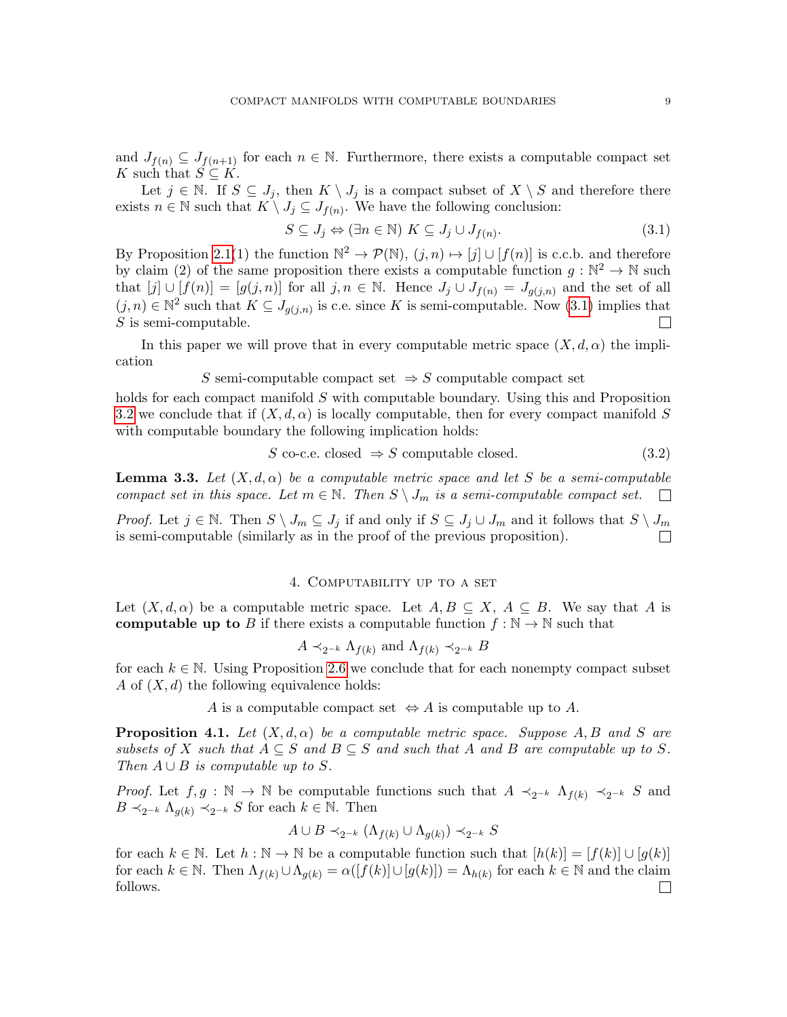and  $J_{f(n)} \subseteq J_{f(n+1)}$  for each  $n \in \mathbb{N}$ . Furthermore, there exists a computable compact set K such that  $S \subseteq K$ .

Let  $j \in \mathbb{N}$ . If  $S \subseteq J_j$ , then  $K \setminus J_j$  is a compact subset of  $X \setminus S$  and therefore there exists  $n \in \mathbb{N}$  such that  $K \setminus J_j \subseteq J_{f(n)}$ . We have the following conclusion:

<span id="page-8-1"></span>
$$
S \subseteq J_j \Leftrightarrow (\exists n \in \mathbb{N}) \ K \subseteq J_j \cup J_{f(n)}.\tag{3.1}
$$

By Proposition [2.1\(](#page-2-1)1) the function  $\mathbb{N}^2 \to \mathcal{P}(\mathbb{N})$ ,  $(j, n) \mapsto [j] \cup [f(n)]$  is c.c.b. and therefore by claim (2) of the same proposition there exists a computable function  $g : \mathbb{N}^2 \to \mathbb{N}$  such that  $[j] \cup [f(n)] = [g(j,n)]$  for all  $j, n \in \mathbb{N}$ . Hence  $J_j \cup J_{f(n)} = J_{g(j,n)}$  and the set of all  $(j, n) \in \mathbb{N}^2$  such that  $K \subseteq J_{g(j,n)}$  is c.e. since K is semi-computable. Now [\(3.1\)](#page-8-1) implies that S is semi-computable.  $\Box$ 

In this paper we will prove that in every computable metric space  $(X, d, \alpha)$  the implication

S semi-computable compact set  $\Rightarrow$  S computable compact set

holds for each compact manifold  $S$  with computable boundary. Using this and Proposition [3.2](#page-7-2) we conclude that if  $(X, d, \alpha)$  is locally computable, then for every compact manifold S with computable boundary the following implication holds:

$$
S \text{ co-c.e. closed } \Rightarrow S \text{ computable closed.} \tag{3.2}
$$

<span id="page-8-3"></span>**Lemma 3.3.** Let  $(X, d, \alpha)$  be a computable metric space and let S be a semi-computable compact set in this space. Let  $m \in \mathbb{N}$ . Then  $S \setminus J_m$  is a semi-computable compact set.  $\overline{\phantom{a}}$ 

*Proof.* Let  $j \in \mathbb{N}$ . Then  $S \setminus J_m \subseteq J_j$  if and only if  $S \subseteq J_j \cup J_m$  and it follows that  $S \setminus J_m$ is semi-computable (similarly as in the proof of the previous proposition).  $\Box$ 

## 4. Computability up to a set

<span id="page-8-0"></span>Let  $(X, d, \alpha)$  be a computable metric space. Let  $A, B \subseteq X, A \subseteq B$ . We say that A is **computable up to** B if there exists a computable function  $f : \mathbb{N} \to \mathbb{N}$  such that

$$
A \prec_{2^{-k}} \Lambda_{f(k)}
$$
 and  $\Lambda_{f(k)} \prec_{2^{-k}} B$ 

for each  $k \in \mathbb{N}$ . Using Proposition [2.6](#page-6-2) we conclude that for each nonempty compact subset A of  $(X, d)$  the following equivalence holds:

A is a computable compact set  $\Leftrightarrow A$  is computable up to A.

<span id="page-8-2"></span>**Proposition 4.1.** Let  $(X, d, \alpha)$  be a computable metric space. Suppose A, B and S are subsets of X such that  $A \subseteq S$  and  $B \subseteq S$  and such that A and B are computable up to S. Then  $A \cup B$  is computable up to S.

*Proof.* Let  $f, g : \mathbb{N} \to \mathbb{N}$  be computable functions such that  $A \prec_{2^{-k}} \Lambda_{f(k)} \prec_{2^{-k}} S$  and  $B \prec_{2^{-k}} \Lambda_{g(k)} \prec_{2^{-k}} S$  for each  $k \in \mathbb{N}$ . Then

$$
A \cup B \prec_{2^{-k}} (\Lambda_{f(k)} \cup \Lambda_{g(k)}) \prec_{2^{-k}} S
$$

for each  $k \in \mathbb{N}$ . Let  $h : \mathbb{N} \to \mathbb{N}$  be a computable function such that  $[h(k)] = [f(k)] \cup [g(k)]$ for each  $k \in \mathbb{N}$ . Then  $\Lambda_{f(k)} \cup \Lambda_{g(k)} = \alpha([f(k)] \cup [g(k)]) = \Lambda_{h(k)}$  for each  $k \in \mathbb{N}$  and the claim follows. $\Box$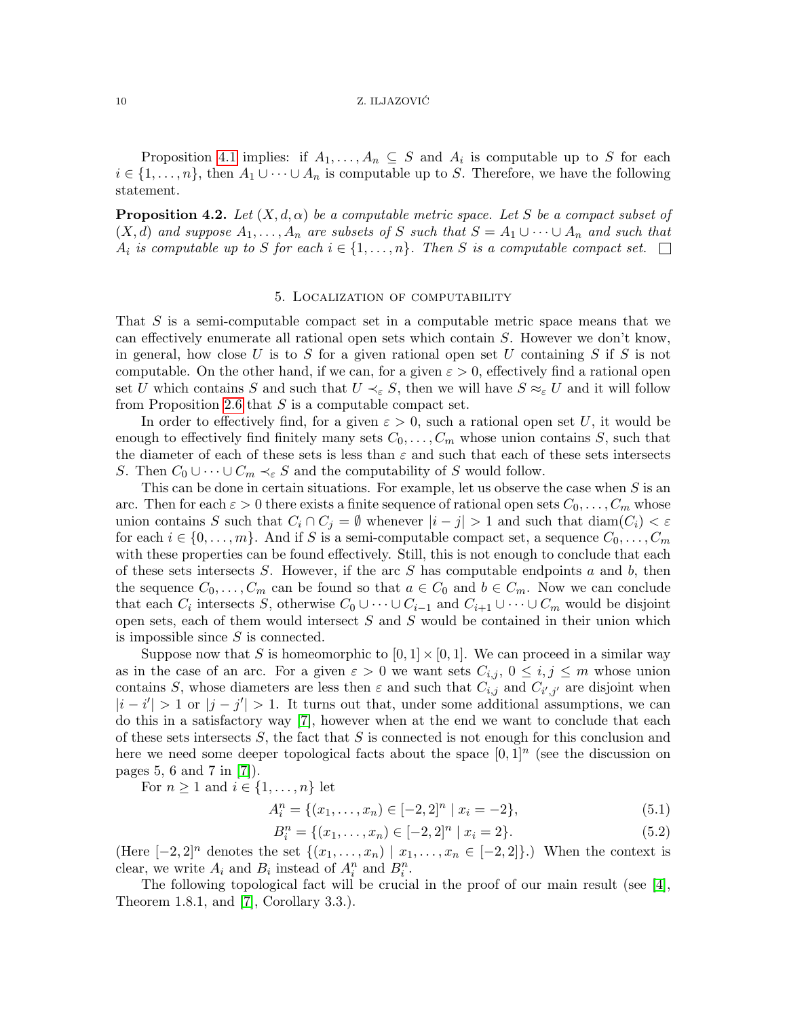#### 10 Z. ILJAZOVIĆ

Proposition [4.1](#page-8-2) implies: if  $A_1, \ldots, A_n \subseteq S$  and  $A_i$  is computable up to S for each  $i \in \{1, \ldots, n\}$ , then  $A_1 \cup \cdots \cup A_n$  is computable up to S. Therefore, we have the following statement.

<span id="page-9-3"></span>**Proposition 4.2.** Let  $(X, d, \alpha)$  be a computable metric space. Let S be a compact subset of  $(X, d)$  and suppose  $A_1, \ldots, A_n$  are subsets of S such that  $S = A_1 \cup \cdots \cup A_n$  and such that  $A_i$  is computable up to S for each  $i \in \{1, \ldots, n\}$ . Then S is a computable compact set.

### 5. Localization of computability

<span id="page-9-0"></span>That S is a semi-computable compact set in a computable metric space means that we can effectively enumerate all rational open sets which contain S. However we don't know, in general, how close U is to S for a given rational open set U containing S if S is not computable. On the other hand, if we can, for a given  $\varepsilon > 0$ , effectively find a rational open set U which contains S and such that  $U \nightharpoonup_{\varepsilon} S$ , then we will have  $S \approx_{\varepsilon} U$  and it will follow from Proposition [2.6](#page-6-2) that  $S$  is a computable compact set.

In order to effectively find, for a given  $\varepsilon > 0$ , such a rational open set U, it would be enough to effectively find finitely many sets  $C_0, \ldots, C_m$  whose union contains S, such that the diameter of each of these sets is less than  $\varepsilon$  and such that each of these sets intersects S. Then  $C_0 \cup \cdots \cup C_m \prec_{\varepsilon} S$  and the computability of S would follow.

This can be done in certain situations. For example, let us observe the case when  $S$  is an arc. Then for each  $\varepsilon > 0$  there exists a finite sequence of rational open sets  $C_0, \ldots, C_m$  whose union contains S such that  $C_i \cap C_j = \emptyset$  whenever  $|i - j| > 1$  and such that  $\text{diam}(C_i) < \varepsilon$ for each  $i \in \{0, \ldots, m\}$ . And if S is a semi-computable compact set, a sequence  $C_0, \ldots, C_m$ with these properties can be found effectively. Still, this is not enough to conclude that each of these sets intersects  $S$ . However, if the arc  $S$  has computable endpoints  $a$  and  $b$ , then the sequence  $C_0, \ldots, C_m$  can be found so that  $a \in C_0$  and  $b \in C_m$ . Now we can conclude that each  $C_i$  intersects S, otherwise  $C_0 \cup \cdots \cup C_{i-1}$  and  $C_{i+1} \cup \cdots \cup C_m$  would be disjoint open sets, each of them would intersect  $S$  and  $S$  would be contained in their union which is impossible since S is connected.

Suppose now that S is homeomorphic to  $[0,1] \times [0,1]$ . We can proceed in a similar way as in the case of an arc. For a given  $\varepsilon > 0$  we want sets  $C_{i,j}$ ,  $0 \leq i,j \leq m$  whose union contains S, whose diameters are less then  $\varepsilon$  and such that  $C_{i,j}$  and  $C_{i',j'}$  are disjoint when  $|i - i'| > 1$  or  $|j - j'| > 1$ . It turns out that, under some additional assumptions, we can do this in a satisfactory way [\[7\]](#page-21-6), however when at the end we want to conclude that each of these sets intersects  $S$ , the fact that  $S$  is connected is not enough for this conclusion and here we need some deeper topological facts about the space  $[0,1]^n$  (see the discussion on pages 5, 6 and 7 in [\[7\]](#page-21-6)).

For  $n \geq 1$  and  $i \in \{1, \ldots, n\}$  let

<span id="page-9-1"></span>
$$
A_i^n = \{(x_1, \dots, x_n) \in [-2, 2]^n \mid x_i = -2\},\tag{5.1}
$$

<span id="page-9-2"></span>
$$
B_i^n = \{(x_1, \dots, x_n) \in [-2, 2]^n \mid x_i = 2\}.
$$
\n(5.2)

(Here  $[-2,2]^n$  denotes the set  $\{(x_1,\ldots,x_n) \mid x_1,\ldots,x_n \in [-2,2]\}.$ ) When the context is clear, we write  $A_i$  and  $B_i$  instead of  $A_i^n$  and  $B_i^n$ .

The following topological fact will be crucial in the proof of our main result (see  $[4]$ , Theorem 1.8.1, and [\[7\]](#page-21-6), Corollary 3.3.).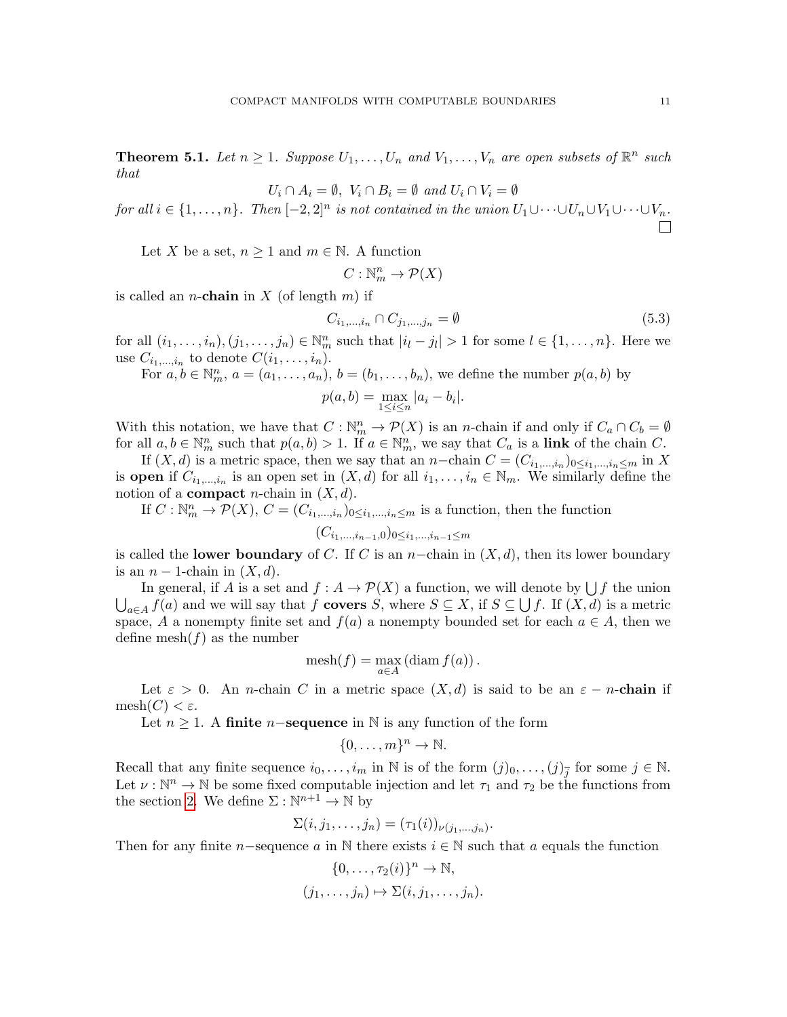<span id="page-10-0"></span>**Theorem 5.1.** Let  $n \geq 1$ . Suppose  $U_1, \ldots, U_n$  and  $V_1, \ldots, V_n$  are open subsets of  $\mathbb{R}^n$  such that

$$
U_i \cap A_i = \emptyset, \ V_i \cap B_i = \emptyset \ and \ U_i \cap V_i = \emptyset
$$

for all  $i \in \{1, \ldots, n\}$ . Then  $[-2, 2]^n$  is not contained in the union  $U_1 \cup \cdots \cup U_n \cup V_1 \cup \cdots \cup V_n$ .

Let X be a set,  $n \geq 1$  and  $m \in \mathbb{N}$ . A function

$$
C: \mathbb{N}_m^n \to \mathcal{P}(X)
$$

is called an *n*-chain in  $X$  (of length  $m$ ) if

$$
C_{i_1,\dots,i_n} \cap C_{j_1,\dots,j_n} = \emptyset
$$
\n
$$
(5.3)
$$

for all  $(i_1, \ldots, i_n)$ ,  $(j_1, \ldots, j_n) \in \mathbb{N}_m^n$  such that  $|i_l - j_l| > 1$  for some  $l \in \{1, \ldots, n\}$ . Here we use  $C_{i_1,\ldots,i_n}$  to denote  $C(i_1,\ldots,i_n)$ .

For  $a, b \in \mathbb{N}_m^n$ ,  $a = (a_1, \ldots, a_n)$ ,  $b = (b_1, \ldots, b_n)$ , we define the number  $p(a, b)$  by  $p(a, b) = \max_{1 \le i \le n} |a_i - b_i|.$ 

With this notation, we have that  $C: \mathbb{N}_m^n \to \mathcal{P}(X)$  is an *n*-chain if and only if  $C_a \cap C_b = \emptyset$ for all  $a, b \in \mathbb{N}_m^n$  such that  $p(a, b) > 1$ . If  $a \in \mathbb{N}_m^n$ , we say that  $C_a$  is a **link** of the chain C.

If  $(X, d)$  is a metric space, then we say that an n-chain  $C = (C_{i_1,\ldots,i_n})_{0 \leq i_1,\ldots,i_n \leq m}$  in X is **open** if  $C_{i_1,\dots,i_n}$  is an open set in  $(X,d)$  for all  $i_1,\dots,i_n \in \mathbb{N}_m$ . We similarly define the notion of a **compact** *n*-chain in  $(X, d)$ .

If  $C: \mathbb{N}_m^n \to \mathcal{P}(X)$ ,  $C = (C_{i_1,\dots,i_n})_{0 \leq i_1,\dots,i_n \leq m}$  is a function, then the function

$$
(C_{i_1,\ldots,i_{n-1},0})_{0\leq i_1,\ldots,i_{n-1}\leq m}
$$

is called the **lower boundary** of C. If C is an n–chain in  $(X, d)$ , then its lower boundary is an  $n-1$ -chain in  $(X, d)$ .

In general, if A is a set and  $f: A \to \mathcal{P}(X)$  a function, we will denote by  $\bigcup f$  the union  $\bigcup_{a\in A} f(a)$  and we will say that f **covers** S, where  $S \subseteq X$ , if  $S \subseteq \bigcup f$ . If  $(X,d)$  is a metric space, A a nonempty finite set and  $f(a)$  a nonempty bounded set for each  $a \in A$ , then we define mesh $(f)$  as the number

$$
\mathrm{mesh}(f)=\max_{a\in A}\left(\mathrm{diam}\,f(a)\right).
$$

Let  $\varepsilon > 0$ . An *n*-chain C in a metric space  $(X, d)$  is said to be an  $\varepsilon - n$ -chain if  $\mathrm{mesh}(C) < \varepsilon.$ 

Let  $n \geq 1$ . A finite n–sequence in N is any function of the form

$$
\{0,\ldots,m\}^n\to\mathbb{N}.
$$

Recall that any finite sequence  $i_0, \ldots, i_m$  in  $\mathbb N$  is of the form  $(j)_0, \ldots, (j)_{\overline{j}}$  for some  $j \in \mathbb N$ . Let  $\nu : \mathbb{N}^n \to \mathbb{N}$  be some fixed computable injection and let  $\tau_1$  and  $\tau_2$  be the functions from the section [2.](#page-2-0) We define  $\Sigma : \mathbb{N}^{n+1} \to \mathbb{N}$  by

$$
\Sigma(i, j_1, \ldots, j_n) = (\tau_1(i))_{\nu(j_1, \ldots, j_n)}.
$$

Then for any finite n–sequence a in N there exists  $i \in \mathbb{N}$  such that a equals the function

$$
\{0, \ldots, \tau_2(i)\}^n \to \mathbb{N},
$$
  

$$
(j_1, \ldots, j_n) \mapsto \Sigma(i, j_1, \ldots, j_n).
$$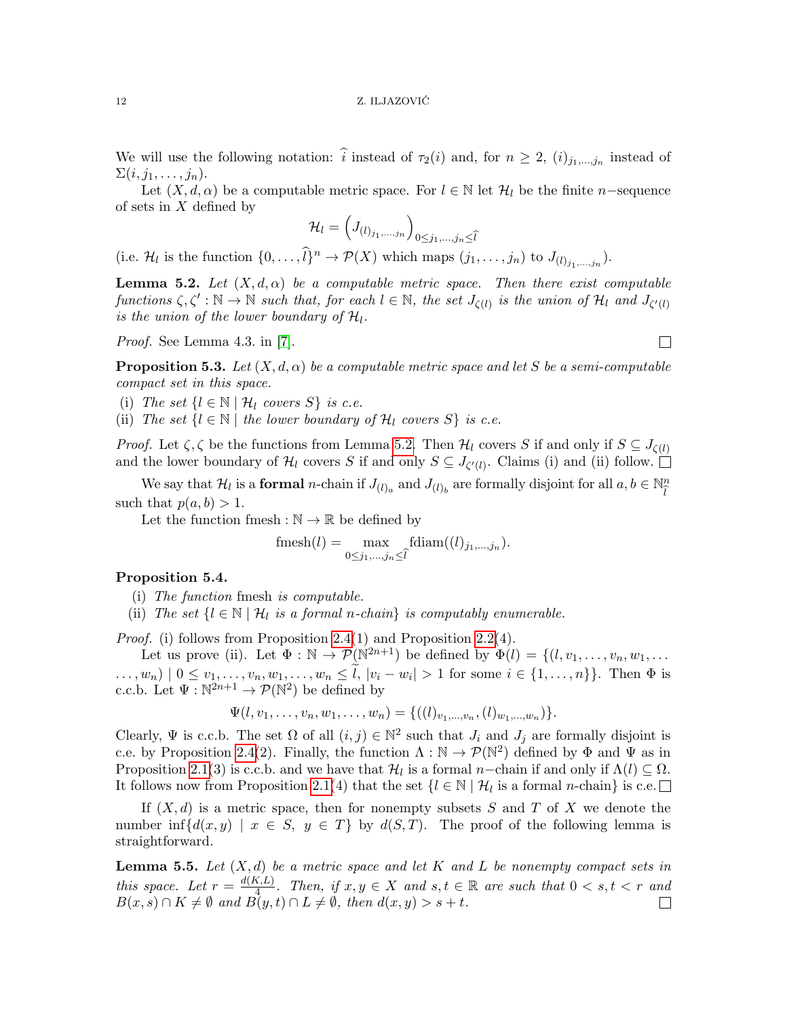#### 12 Z. ILJAZOVIĆ

We will use the following notation: i instead of  $\tau_2(i)$  and, for  $n \geq 2$ ,  $(i)_{j_1,\dots,j_n}$  instead of  $\Sigma(i, j_1, \ldots, j_n).$ 

Let  $(X, d, \alpha)$  be a computable metric space. For  $l \in \mathbb{N}$  let  $\mathcal{H}_l$  be the finite n–sequence of sets in  $X$  defined by

$$
\mathcal{H}_l=\left(J_{(l)_{j_1,...,j_n}}\right)_{0\leq j_1,...,j_n\leq \widehat{l}}
$$

(i.e.  $\mathcal{H}_l$  is the function  $\{0,\ldots,\widehat{l}\}^n \to \mathcal{P}(X)$  which maps  $(j_1,\ldots,j_n)$  to  $J_{(l)_{j_1,\ldots,j_n}}$ ).

<span id="page-11-0"></span>**Lemma 5.2.** Let  $(X, d, \alpha)$  be a computable metric space. Then there exist computable functions  $\zeta, \zeta': \mathbb{N} \to \mathbb{N}$  such that, for each  $l \in \mathbb{N}$ , the set  $J_{\zeta(l)}$  is the union of  $\mathcal{H}_l$  and  $J_{\zeta'(l)}$ is the union of the lower boundary of  $\mathcal{H}_l$ .

Proof. See Lemma 4.3. in [\[7\]](#page-21-6).

<span id="page-11-2"></span>**Proposition 5.3.** Let  $(X, d, \alpha)$  be a computable metric space and let S be a semi-computable compact set in this space.

 $\Box$ 

(i) The set  $\{l \in \mathbb{N} \mid \mathcal{H}_l \text{ covers } S\}$  is c.e.

(ii) The set  $\{l \in \mathbb{N} \mid the\ lower\ boundary\ of\ H_l\ covers\ S\}$  is c.e.

*Proof.* Let  $\zeta$ ,  $\zeta$  be the functions from Lemma [5.2.](#page-11-0) Then  $\mathcal{H}_l$  covers S if and only if  $S \subseteq J_{\zeta(l)}$ and the lower boundary of  $\mathcal{H}_l$  covers S if and only  $S \subseteq J_{\zeta'(l)}$ . Claims (i) and (ii) follow.

We say that  $\mathcal{H}_l$  is a formal *n*-chain if  $J_{(l)_a}$  and  $J_{(l)_b}$  are formally disjoint for all  $a, b \in \mathbb{N}_{l}^n$  $l$ such that  $p(a, b) > 1$ .

Let the function fmesh :  $\mathbb{N} \to \mathbb{R}$  be defined by

$$
fmesh(l) = \max_{0 \le j_1, \dots, j_n \le \widehat{l}} fdiamond(l)_{j_1, \dots, j_n}).
$$

### <span id="page-11-3"></span>Proposition 5.4.

- (i) The function fmesh is computable.
- (ii) The set  $\{l \in \mathbb{N} \mid \mathcal{H}_l$  is a formal n-chain} is computably enumerable.

Proof. (i) follows from Proposition [2.4\(](#page-5-0)1) and Proposition [2.2\(](#page-3-0)4).

Let us prove (ii). Let  $\Phi : \mathbb{N} \to \mathcal{P}(\mathbb{N}^{2n+1})$  be defined by  $\Phi(l) = \{(l, v_1, \ldots, v_n, w_1, \ldots, w_n)\}$  $\ldots, w_n) | 0 \leq v_1, \ldots, v_n, w_1, \ldots, w_n \leq l, |v_i - w_i| > 1$  for some  $i \in \{1, \ldots, n\}$ . Then  $\Phi$  is c.c.b. Let  $\Psi : \mathbb{N}^{2n+1} \to \mathcal{P}(\mathbb{N}^2)$  be defined by

$$
\Psi(l, v_1, \ldots, v_n, w_1, \ldots, w_n) = \{((l)_{v_1, \ldots, v_n}, (l)_{w_1, \ldots, w_n})\}.
$$

Clearly,  $\Psi$  is c.c.b. The set  $\Omega$  of all  $(i, j) \in \mathbb{N}^2$  such that  $J_i$  and  $J_j$  are formally disjoint is c.e. by Proposition [2.4\(](#page-5-0)2). Finally, the function  $\Lambda : \mathbb{N} \to \mathcal{P}(\mathbb{N}^2)$  defined by  $\Phi$  and  $\Psi$  as in Proposition [2.1\(](#page-2-1)3) is c.c.b. and we have that  $\mathcal{H}_l$  is a formal n–chain if and only if  $\Lambda(l) \subseteq \Omega$ . It follows now from Proposition [2.1\(](#page-2-1)4) that the set  $\{l \in \mathbb{N} \mid \mathcal{H}_l \text{ is a formal } n\text{-chain}\}\$ is c.e.

If  $(X, d)$  is a metric space, then for nonempty subsets S and T of X we denote the number inf{ $d(x, y) \mid x \in S$ ,  $y \in T$ } by  $d(S,T)$ . The proof of the following lemma is straightforward.

<span id="page-11-1"></span>**Lemma 5.5.** Let  $(X,d)$  be a metric space and let K and L be nonempty compact sets in this space. Let  $r = \frac{d(K, L)}{4}$  $\frac{X,L}{4}$ . Then, if  $x, y \in X$  and  $s, t \in \mathbb{R}$  are such that  $0 < s, t < r$  and  $B(x, s) \cap K \neq \emptyset$  and  $B(y, t) \cap L \neq \emptyset$ , then  $d(x, y) > s + t$ .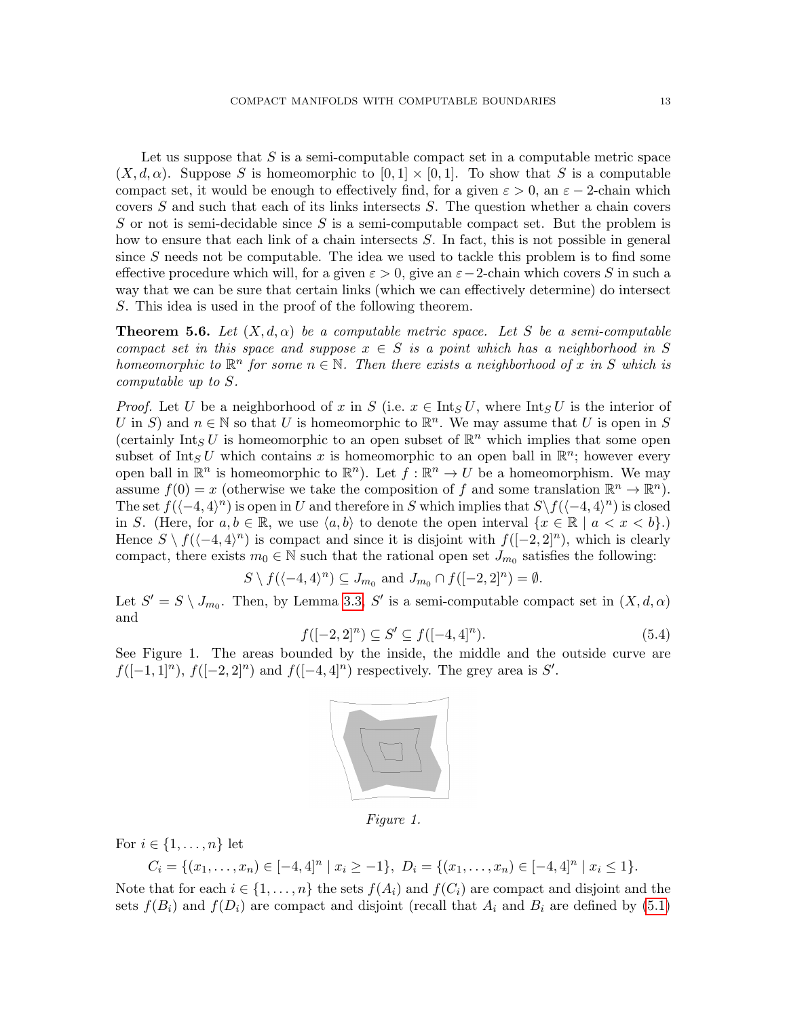Let us suppose that  $S$  is a semi-computable compact set in a computable metric space  $(X, d, \alpha)$ . Suppose S is homeomorphic to  $[0, 1] \times [0, 1]$ . To show that S is a computable compact set, it would be enough to effectively find, for a given  $\varepsilon > 0$ , an  $\varepsilon - 2$ -chain which covers  $S$  and such that each of its links intersects  $S$ . The question whether a chain covers S or not is semi-decidable since S is a semi-computable compact set. But the problem is how to ensure that each link of a chain intersects S. In fact, this is not possible in general since  $S$  needs not be computable. The idea we used to tackle this problem is to find some effective procedure which will, for a given  $\varepsilon > 0$ , give an  $\varepsilon - 2$ -chain which covers S in such a way that we can be sure that certain links (which we can effectively determine) do intersect S. This idea is used in the proof of the following theorem.

<span id="page-12-0"></span>**Theorem 5.6.** Let  $(X, d, \alpha)$  be a computable metric space. Let S be a semi-computable compact set in this space and suppose  $x \in S$  is a point which has a neighborhood in S homeomorphic to  $\mathbb{R}^n$  for some  $n \in \mathbb{N}$ . Then there exists a neighborhood of x in S which is computable up to S.

*Proof.* Let U be a neighborhood of x in S (i.e.  $x \in \text{Int}_S U$ , where  $\text{Int}_S U$  is the interior of U in S and  $n \in \mathbb{N}$  so that U is homeomorphic to  $\mathbb{R}^n$ . We may assume that U is open in S (certainly  $\text{Int}_S U$  is homeomorphic to an open subset of  $\mathbb{R}^n$  which implies that some open subset of  $\text{Int}_S U$  which contains x is homeomorphic to an open ball in  $\mathbb{R}^n$ ; however every open ball in  $\mathbb{R}^n$  is homeomorphic to  $\mathbb{R}^n$ ). Let  $f : \mathbb{R}^n \to U$  be a homeomorphism. We may assume  $f(0) = x$  (otherwise we take the composition of f and some translation  $\mathbb{R}^n \to \mathbb{R}^n$ ). The set  $f(\langle -4, 4 \rangle^n)$  is open in U and therefore in S which implies that  $S\backslash f(\langle -4, 4 \rangle^n)$  is closed in S. (Here, for  $a, b \in \mathbb{R}$ , we use  $\langle a, b \rangle$  to denote the open interval  $\{x \in \mathbb{R} \mid a < x < b\}$ .) Hence  $S \setminus f((-4, 4)^n)$  is compact and since it is disjoint with  $f([-2, 2]^n)$ , which is clearly compact, there exists  $m_0 \in \mathbb{N}$  such that the rational open set  $J_{m_0}$  satisfies the following:

$$
S \setminus f((-4,4)^n) \subseteq J_{m_0} \text{ and } J_{m_0} \cap f([-2,2]^n) = \emptyset.
$$

Let  $S' = S \setminus J_{m_0}$ . Then, by Lemma [3.3,](#page-8-3) S' is a semi-computable compact set in  $(X, d, \alpha)$ and

<span id="page-12-1"></span>
$$
f([-2,2]^n) \subseteq S' \subseteq f([-4,4]^n). \tag{5.4}
$$

See Figure 1. The areas bounded by the inside, the middle and the outside curve are  $f([-1, 1]<sup>n</sup>), f([-2, 2]<sup>n</sup>)$  and  $f([-4, 4]<sup>n</sup>)$  respectively. The grey area is S'.



Figure 1.

For  $i \in \{1, \ldots, n\}$  let

$$
C_i = \{(x_1, \ldots, x_n) \in [-4, 4]^n \mid x_i \ge -1\}, \ D_i = \{(x_1, \ldots, x_n) \in [-4, 4]^n \mid x_i \le 1\}.
$$

Note that for each  $i \in \{1, \ldots, n\}$  the sets  $f(A_i)$  and  $f(C_i)$  are compact and disjoint and the sets  $f(B_i)$  and  $f(D_i)$  are compact and disjoint (recall that  $A_i$  and  $B_i$  are defined by [\(5.1\)](#page-9-1)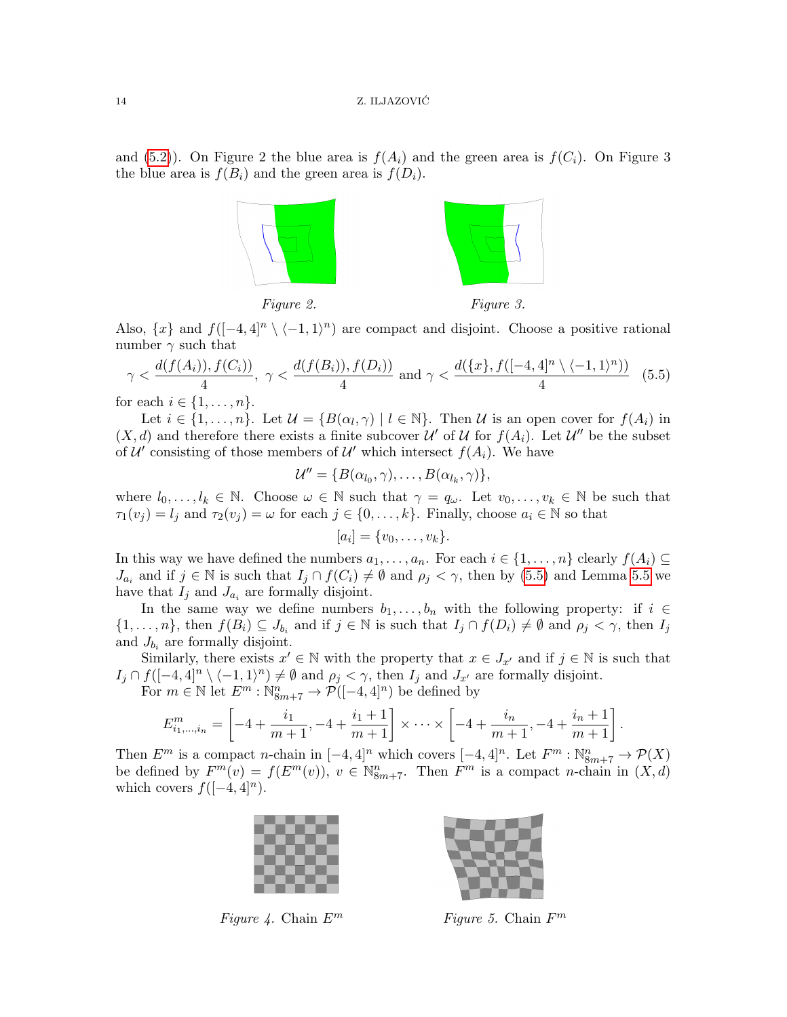and [\(5.2\)](#page-9-2)). On Figure 2 the blue area is  $f(A_i)$  and the green area is  $f(C_i)$ . On Figure 3 the blue area is  $f(B_i)$  and the green area is  $f(D_i)$ .



Figure 2. Figure 3.

Also,  $\{x\}$  and  $f([-4, 4]^n \setminus \langle -1, 1 \rangle^n)$  are compact and disjoint. Choose a positive rational number  $\gamma$  such that

<span id="page-13-0"></span>
$$
\gamma < \frac{d(f(A_i)), f(C_i)}{4}, \ \gamma < \frac{d(f(B_i)), f(D_i)}{4} \text{ and } \gamma < \frac{d(\{x\}, f([-4, 4]^n \setminus \langle -1, 1 \rangle^n))}{4} \tag{5.5}
$$

for each  $i \in \{1, \ldots, n\}$ .

Let  $i \in \{1, \ldots, n\}$ . Let  $\mathcal{U} = \{B(\alpha_l, \gamma) \mid l \in \mathbb{N}\}$ . Then U is an open cover for  $f(A_i)$  in  $(X, d)$  and therefore there exists a finite subcover U' of U for  $f(A_i)$ . Let U'' be the subset of  $\mathcal{U}'$  consisting of those members of  $\mathcal{U}'$  which intersect  $f(A_i)$ . We have

 $\mathcal{U}'' = \{B(\alpha_{l_0}, \gamma), \ldots, B(\alpha_{l_k}, \gamma)\},\,$ 

where  $l_0, \ldots, l_k \in \mathbb{N}$ . Choose  $\omega \in \mathbb{N}$  such that  $\gamma = q_\omega$ . Let  $v_0, \ldots, v_k \in \mathbb{N}$  be such that  $\tau_1(v_i) = l_i$  and  $\tau_2(v_i) = \omega$  for each  $j \in \{0, \ldots, k\}$ . Finally, choose  $a_i \in \mathbb{N}$  so that

$$
[a_i] = \{v_0, \ldots, v_k\}.
$$

In this way we have defined the numbers  $a_1, \ldots, a_n$ . For each  $i \in \{1, \ldots, n\}$  clearly  $f(A_i) \subseteq$  $J_{a_i}$  and if  $j \in \mathbb{N}$  is such that  $I_j \cap f(C_i) \neq \emptyset$  and  $\rho_j < \gamma$ , then by [\(5.5\)](#page-13-0) and Lemma [5.5](#page-11-1) we have that  $I_j$  and  $J_{a_i}$  are formally disjoint.

In the same way we define numbers  $b_1, \ldots, b_n$  with the following property: if  $i \in$  $\{1,\ldots,n\}$ , then  $f(B_i) \subseteq J_{b_i}$  and if  $j \in \mathbb{N}$  is such that  $I_j \cap f(D_i) \neq \emptyset$  and  $\rho_j < \gamma$ , then  $I_j$ and  $J_{b_i}$  are formally disjoint.

Similarly, there exists  $x' \in \mathbb{N}$  with the property that  $x \in J_{x'}$  and if  $j \in \mathbb{N}$  is such that  $I_j \cap f([-4, 4]^n \setminus \langle -1, 1 \rangle^n) \neq \emptyset$  and  $\rho_j < \gamma$ , then  $I_j$  and  $J_{x'}$  are formally disjoint. For  $m \in \mathbb{N}$  let  $E^m : \mathbb{N}_{8m+7}^n \to \mathcal{P}([-4, 4]^n)$  be defined by

$$
E^m_{i_1,\dots,i_n} = \left[ -4 + \frac{i_1}{m+1}, -4 + \frac{i_1+1}{m+1} \right] \times \dots \times \left[ -4 + \frac{i_n}{m+1}, -4 + \frac{i_n+1}{m+1} \right].
$$

Then  $E^m$  is a compact n-chain in  $[-4, 4]^n$  which covers  $[-4, 4]^n$ . Let  $F^m : \mathbb{N}_{8m+7}^n \to \mathcal{P}(X)$ be defined by  $F^m(v) = f(E^m(v)), v \in \mathbb{N}_{8m+7}^n$ . Then  $F^m$  is a compact *n*-chain in  $(X, d)$ which covers  $f([-4, 4]^{n})$ .



Figure 4. Chain  $E^m$ 



Figure 5. Chain  $F^m$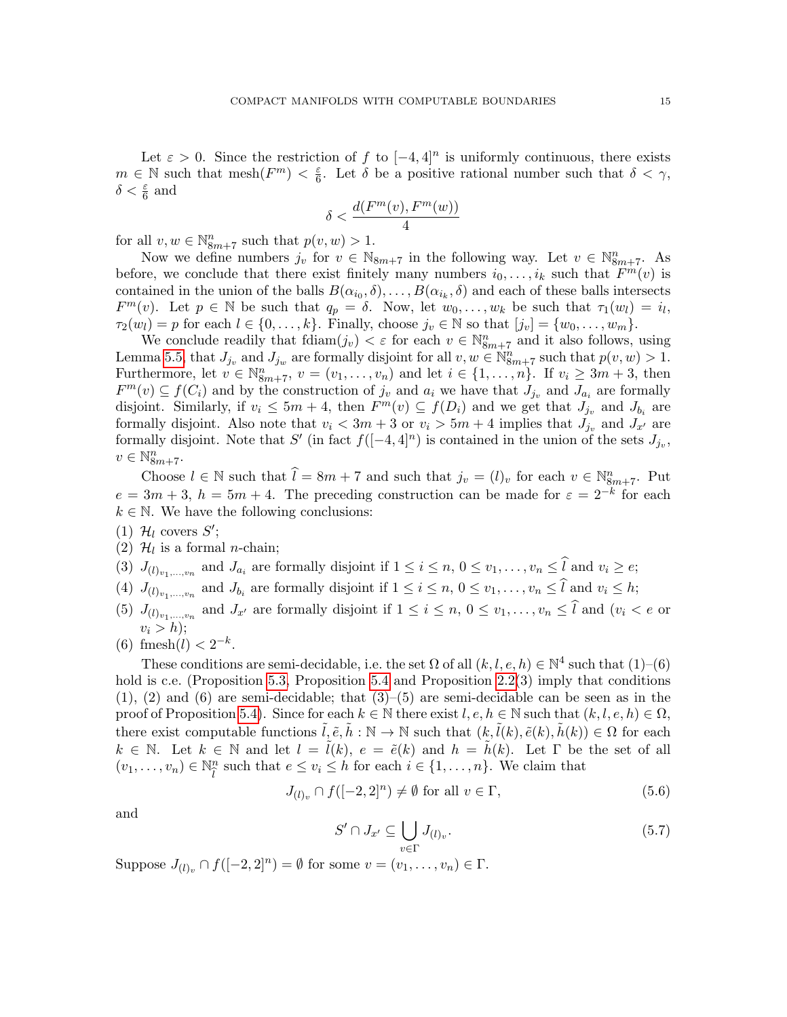Let  $\varepsilon > 0$ . Since the restriction of f to  $[-4, 4]^n$  is uniformly continuous, there exists  $m \in \mathbb{N}$  such that  $\text{mesh}(F^m) < \frac{\varepsilon}{6}$  $\frac{\varepsilon}{6}$ . Let  $\delta$  be a positive rational number such that  $\delta < \gamma$ ,  $\delta < \frac{\varepsilon}{6}$  and

$$
\delta < \frac{d(F^m(v),F^m(w))}{4}
$$

for all  $v, w \in \mathbb{N}_{8m+7}^n$  such that  $p(v, w) > 1$ .

Now we define numbers  $j_v$  for  $v \in \mathbb{N}_{8m+7}$  in the following way. Let  $v \in \mathbb{N}_{8m+7}^n$ . As before, we conclude that there exist finitely many numbers  $i_0, \ldots, i_k$  such that  $\overline{F}^m(v)$  is contained in the union of the balls  $B(\alpha_{i_0}, \delta), \ldots, B(\alpha_{i_k}, \delta)$  and each of these balls intersects  $F^m(v)$ . Let  $p \in \mathbb{N}$  be such that  $q_p = \delta$ . Now, let  $w_0, \ldots, w_k$  be such that  $\tau_1(w_l) = i_l$ ,  $\tau_2(w_l) = p$  for each  $l \in \{0, \ldots, k\}$ . Finally, choose  $j_v \in \mathbb{N}$  so that  $[j_v] = \{w_0, \ldots, w_m\}$ .

We conclude readily that  $\text{fdiam}(j_v) < \varepsilon$  for each  $v \in \mathbb{N}_{8m+7}^n$  and it also follows, using Lemma [5.5,](#page-11-1) that  $J_{j_v}$  and  $J_{j_w}$  are formally disjoint for all  $v, w \in \mathbb{N}^n_{8m+7}$  such that  $p(v, w) > 1$ . Furthermore, let  $v \in \mathbb{N}_{8m+7}^n$ ,  $v = (v_1, \ldots, v_n)$  and let  $i \in \{1, \ldots, n\}$ . If  $v_i \geq 3m+3$ , then  $F^m(v) \subseteq f(C_i)$  and by the construction of  $j_v$  and  $a_i$  we have that  $J_{j_v}$  and  $J_{a_i}$  are formally disjoint. Similarly, if  $v_i \le 5m + 4$ , then  $F^m(v) \subseteq f(D_i)$  and we get that  $J_{j_v}$  and  $J_{b_i}$  are formally disjoint. Also note that  $v_i < 3m + 3$  or  $v_i > 5m + 4$  implies that  $J_{j_v}$  and  $J_{x'}$  are formally disjoint. Note that S' (in fact  $f([-4, 4]^n)$  is contained in the union of the sets  $J_{j_v}$ ,  $v \in \mathbb{N}_{8m+7}^n$ .

Choose  $l \in \mathbb{N}$  such that  $\hat{l} = 8m + 7$  and such that  $j_v = (l)_v$  for each  $v \in \mathbb{N}_{8m+7}^n$ . Put  $e = 3m + 3$ ,  $h = 5m + 4$ . The preceding construction can be made for  $\varepsilon = 2^{-k}$  for each  $k \in \mathbb{N}$ . We have the following conclusions:

(1)  $\mathcal{H}_l$  covers  $S'$ ;

- (2)  $\mathcal{H}_l$  is a formal *n*-chain;
- (3)  $J_{(l)v_1,...,v_n}$  and  $J_{a_i}$  are formally disjoint if  $1 \leq i \leq n, 0 \leq v_1,...,v_n \leq l$  and  $v_i \geq e$ ;

(4)  $J_{(l)v_1,...,v_n}$  and  $J_{b_i}$  are formally disjoint if  $1 \leq i \leq n, 0 \leq v_1,...,v_n \leq l$  and  $v_i \leq h$ ;

- (5)  $J_{(l)_{v_1,\ldots,v_n}}$  and  $J_{x'}$  are formally disjoint if  $1 \leq i \leq n, 0 \leq v_1,\ldots,v_n \leq l$  and  $(v_i < e$  or  $v_i > h$ );
- (6) fmesh $(l) < 2^{-k}$ .

These conditions are semi-decidable, i.e. the set  $\Omega$  of all  $(k, l, e, h) \in \mathbb{N}^4$  such that  $(1)$ – $(6)$ hold is c.e. (Proposition [5.3,](#page-11-2) Proposition [5.4](#page-11-3) and Proposition [2.2\(](#page-3-0)3) imply that conditions  $(1), (2)$  and  $(6)$  are semi-decidable; that  $(3)$ – $(5)$  are semi-decidable can be seen as in the proof of Proposition [5.4\)](#page-11-3). Since for each  $k \in \mathbb{N}$  there exist  $l, e, h \in \mathbb{N}$  such that  $(k, l, e, h) \in \Omega$ , there exist computable functions  $\tilde{l}, \tilde{e}, \tilde{h}: \mathbb{N} \to \mathbb{N}$  such that  $(k, \tilde{l}(k), \tilde{e}(k), \tilde{h}(k)) \in \Omega$  for each  $k \in \mathbb{N}$ . Let  $k \in \mathbb{N}$  and let  $l = \tilde{l}(k)$ ,  $e = \tilde{e}(k)$  and  $h = \tilde{h}(k)$ . Let  $\Gamma$  be the set of all  $(v_1,\ldots,v_n)\in\mathbb{N}_{\widehat{\tau}}^n$  $\widehat{i}$  such that  $e \le v_i \le h$  for each  $i \in \{1, \ldots, n\}$ . We claim that

<span id="page-14-0"></span>
$$
J_{(l)_v} \cap f([-2,2]^n) \neq \emptyset \text{ for all } v \in \Gamma,
$$
\n
$$
(5.6)
$$

and

<span id="page-14-1"></span>
$$
S' \cap J_{x'} \subseteq \bigcup_{v \in \Gamma} J_{(l)_v}.\tag{5.7}
$$

Suppose  $J_{(l)_v} \cap f([-2,2]^n) = \emptyset$  for some  $v = (v_1, \ldots, v_n) \in \Gamma$ .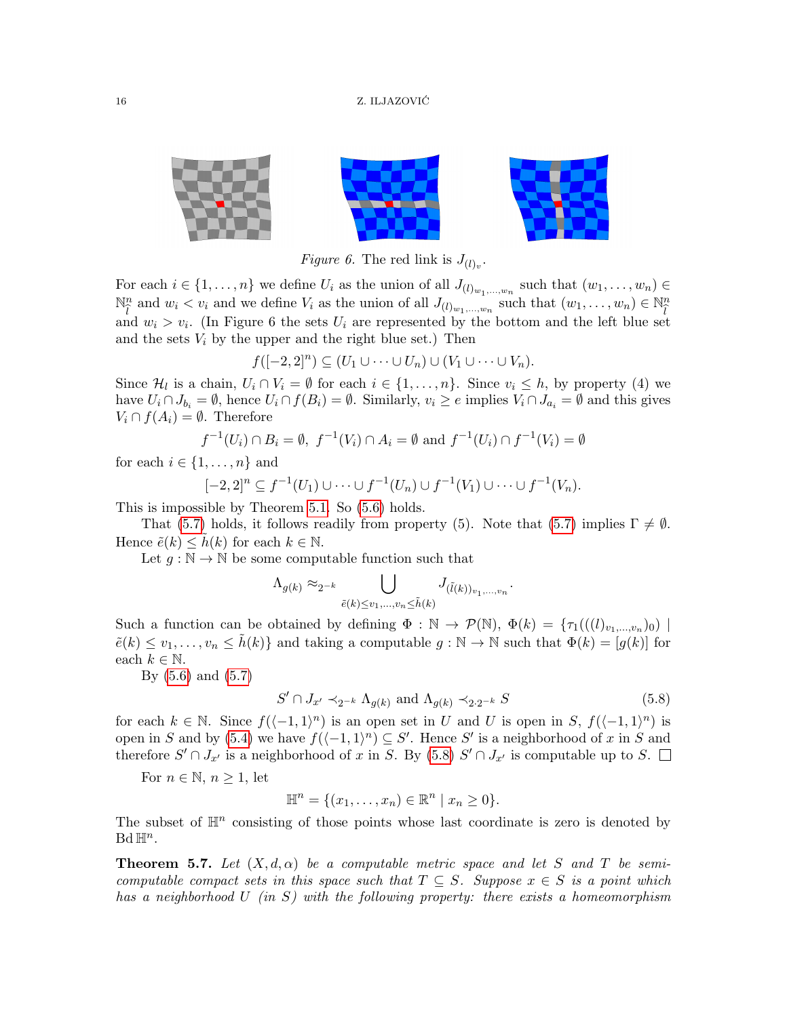

Figure 6. The red link is  $J_{(l)_v}$ .

For each  $i \in \{1, \ldots, n\}$  we define  $U_i$  as the union of all  $J_{(l)_{w_1,\ldots,w_n}}$  such that  $(w_1,\ldots,w_n) \in$  $\mathbb{N}^n$  $\hat{l}$  and  $w_i < v_i$  and we define  $V_i$  as the union of all  $J_{(l)_{w_1,...,w_n}}$  such that  $(w_1,...,w_n) \in \mathbb{N}_{\hat{l}}^n$  $\frac{l}{4}$ and  $w_i > v_i$ . (In Figure 6 the sets  $U_i$  are represented by the bottom and the left blue set and the sets  $V_i$  by the upper and the right blue set.) Then

$$
f([-2,2]^n) \subseteq (U_1 \cup \cdots \cup U_n) \cup (V_1 \cup \cdots \cup V_n).
$$

Since  $\mathcal{H}_l$  is a chain,  $U_i \cap V_i = \emptyset$  for each  $i \in \{1, ..., n\}$ . Since  $v_i \leq h$ , by property (4) we have  $U_i \cap J_{b_i} = \emptyset$ , hence  $U_i \cap f(B_i) = \emptyset$ . Similarly,  $v_i \geq e$  implies  $V_i \cap J_{a_i} = \emptyset$  and this gives  $V_i \cap f(A_i) = \emptyset$ . Therefore

$$
f^{-1}(U_i) \cap B_i = \emptyset
$$
,  $f^{-1}(V_i) \cap A_i = \emptyset$  and  $f^{-1}(U_i) \cap f^{-1}(V_i) = \emptyset$ 

for each  $i \in \{1, \ldots, n\}$  and

$$
[-2,2]^n \subseteq f^{-1}(U_1) \cup \cdots \cup f^{-1}(U_n) \cup f^{-1}(V_1) \cup \cdots \cup f^{-1}(V_n).
$$

This is impossible by Theorem [5.1.](#page-10-0) So [\(5.6\)](#page-14-0) holds.

That [\(5.7\)](#page-14-1) holds, it follows readily from property (5). Note that (5.7) implies  $\Gamma \neq \emptyset$ . Hence  $\tilde{e}(k) \leq h(k)$  for each  $k \in \mathbb{N}$ .

Let  $q : \mathbb{N} \to \mathbb{N}$  be some computable function such that

$$
\Lambda_{g(k)} \approx_{2^{-k}} \bigcup_{\tilde{e}(k) \le v_1, \dots, v_n \le \tilde{h}(k)} J_{(\tilde{l}(k))v_1, \dots, v_n}.
$$

Such a function can be obtained by defining  $\Phi : \mathbb{N} \to \mathcal{P}(\mathbb{N}), \ \Phi(k) = {\tau_1(((l)_{v_1,...,v_n})_0)}$  $\tilde{e}(k) \leq v_1, \ldots, v_n \leq \tilde{h}(k)$  and taking a computable  $g : \mathbb{N} \to \mathbb{N}$  such that  $\Phi(k) = [g(k)]$  for each  $k \in \mathbb{N}$ .

By  $(5.6)$  and  $(5.7)$ 

<span id="page-15-0"></span>
$$
S' \cap J_{x'} \prec_{2^{-k}} \Lambda_{g(k)} \text{ and } \Lambda_{g(k)} \prec_{2 \cdot 2^{-k}} S
$$
 (5.8)

for each  $k \in \mathbb{N}$ . Since  $f((-1, 1)^n)$  is an open set in U and U is open in S,  $f((-1, 1)^n)$  is open in S and by [\(5.4\)](#page-12-1) we have  $f((-1, 1)^n) \subseteq S'$ . Hence S' is a neighborhood of x in S and therefore  $S' \cap J_{x'}$  is a neighborhood of x in S. By [\(5.8\)](#page-15-0)  $S' \cap J_{x'}$  is computable up to S.

For  $n \in \mathbb{N}$ ,  $n \geq 1$ , let

$$
\mathbb{H}^{n} = \{ (x_1, \dots, x_n) \in \mathbb{R}^{n} \mid x_n \geq 0 \}.
$$

The subset of  $\mathbb{H}^n$  consisting of those points whose last coordinate is zero is denoted by  $\mathrm{Bd}\,\mathbb{H}^n.$ 

<span id="page-15-1"></span>**Theorem 5.7.** Let  $(X, d, \alpha)$  be a computable metric space and let S and T be semicomputable compact sets in this space such that  $T \subseteq S$ . Suppose  $x \in S$  is a point which has a neighborhood U (in S) with the following property: there exists a homeomorphism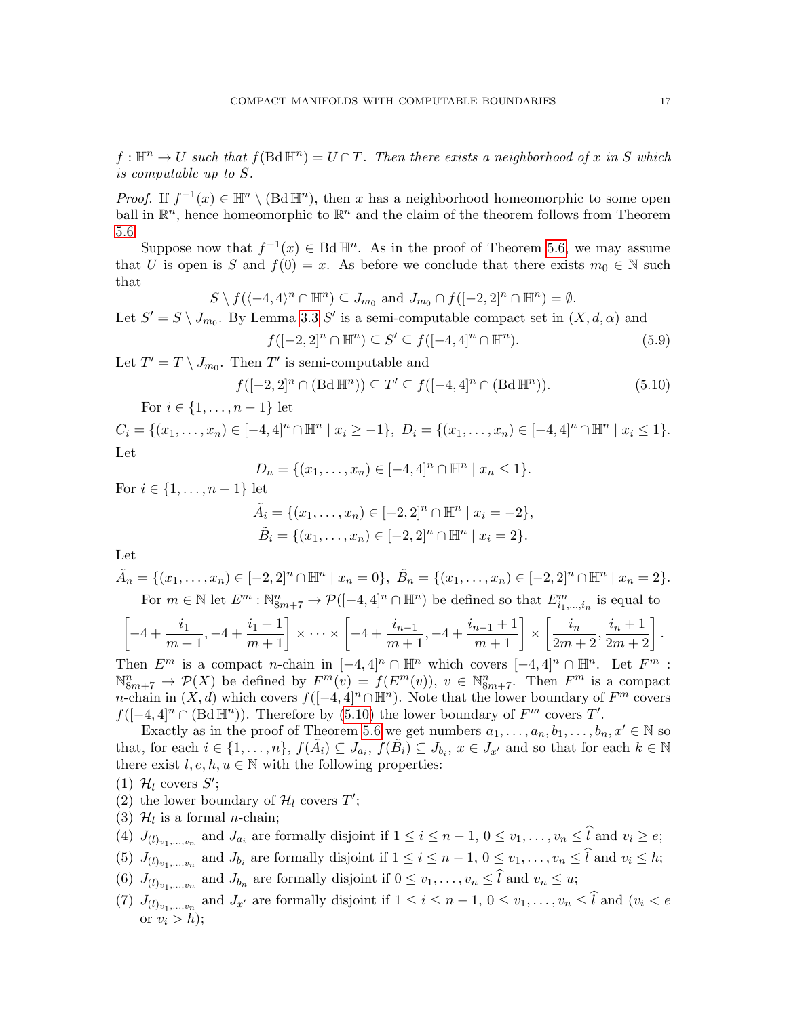$f: \mathbb{H}^n \to U$  such that  $f(\text{Bd }\mathbb{H}^n) = U \cap T$ . Then there exists a neighborhood of x in S which is computable up to S.

*Proof.* If  $f^{-1}(x) \in \mathbb{H}^n \setminus (\text{Bd }\mathbb{H}^n)$ , then x has a neighborhood homeomorphic to some open ball in  $\mathbb{R}^n$ , hence homeomorphic to  $\mathbb{R}^n$  and the claim of the theorem follows from Theorem [5.6.](#page-12-0)

Suppose now that  $f^{-1}(x) \in \text{Bd H}^n$ . As in the proof of Theorem [5.6,](#page-12-0) we may assume that U is open is S and  $f(0) = x$ . As before we conclude that there exists  $m_0 \in \mathbb{N}$  such that

$$
S \setminus f((-4,4)^n \cap \mathbb{H}^n) \subseteq J_{m_0} \text{ and } J_{m_0} \cap f([-2,2]^n \cap \mathbb{H}^n) = \emptyset.
$$

Let  $S' = S \setminus J_{m_0}$ . By Lemma [3.3](#page-8-3) S' is a semi-computable compact set in  $(X, d, \alpha)$  and

$$
f([-2,2]^n \cap \mathbb{H}^n) \subseteq S' \subseteq f([-4,4]^n \cap \mathbb{H}^n). \tag{5.9}
$$

Let  $T' = T \setminus J_{m_0}$ . Then T' is semi-computable and

<span id="page-16-0"></span>
$$
f([-2,2]^n \cap (\text{Bd }\mathbb{H}^n)) \subseteq T' \subseteq f([-4,4]^n \cap (\text{Bd }\mathbb{H}^n)).\tag{5.10}
$$

For  $i \in \{1, ..., n-1\}$  let

 $C_i = \{(x_1, \ldots, x_n) \in [-4, 4]^n \cap \mathbb{H}^n \mid x_i \geq -1\}, D_i = \{(x_1, \ldots, x_n) \in [-4, 4]^n \cap \mathbb{H}^n \mid x_i \leq 1\}.$ Let

$$
D_n = \{(x_1, \ldots, x_n) \in [-4, 4]^n \cap \mathbb{H}^n \mid x_n \le 1\}.
$$

For  $i \in \{1, ..., n-1\}$  let

$$
\tilde{A}_i = \{ (x_1, \dots, x_n) \in [-2, 2]^n \cap \mathbb{H}^n \mid x_i = -2 \},
$$
  

$$
\tilde{B}_i = \{ (x_1, \dots, x_n) \in [-2, 2]^n \cap \mathbb{H}^n \mid x_i = 2 \}.
$$

Let

$$
\tilde{A}_n = \{(x_1, \dots, x_n) \in [-2, 2]^n \cap \mathbb{H}^n \mid x_n = 0\}, \ \tilde{B}_n = \{(x_1, \dots, x_n) \in [-2, 2]^n \cap \mathbb{H}^n \mid x_n = 2\}.
$$
  
For  $m \in \mathbb{N}$  let  $E^m : \mathbb{N}_{8m+7}^n \to \mathcal{P}([-4, 4]^n \cap \mathbb{H}^n)$  be defined so that  $E_{i_1, \dots, i_n}^m$  is equal to

$$
\left[-4+\frac{i_1}{m+1},-4+\frac{i_1+1}{m+1}\right] \times \cdots \times \left[-4+\frac{i_{n-1}}{m+1},-4+\frac{i_{n-1}+1}{m+1}\right] \times \left[\frac{i_n}{2m+2},\frac{i_n+1}{2m+2}\right].
$$

Then  $E^m$  is a compact n-chain in  $[-4, 4]^n \cap \mathbb{H}^n$  which covers  $[-4, 4]^n \cap \mathbb{H}^n$ . Let  $F^m$ :  $\mathbb{N}_{8m+7}^n \to \mathcal{P}(X)$  be defined by  $F^m(v) = f(E^m(v)), v \in \mathbb{N}_{8m+7}^n$ . Then  $F^m$  is a compact n-chain in  $(X, d)$  which covers  $f([-4, 4]^n \cap \mathbb{H}^n)$ . Note that the lower boundary of  $F^m$  covers  $f([-4, 4]^n \cap (Bd \mathbb{H}^n))$ . Therefore by [\(5.10\)](#page-16-0) the lower boundary of  $F^m$  covers  $T'$ .

Exactly as in the proof of Theorem [5.6](#page-12-0) we get numbers  $a_1, \ldots, a_n, b_1, \ldots, b_n, x' \in \mathbb{N}$  so that, for each  $i \in \{1, \ldots, n\}$ ,  $f(\tilde{A}_i) \subseteq J_{a_i}$ ,  $f(\tilde{B}_i) \subseteq J_{b_i}$ ,  $x \in J_{x'}$  and so that for each  $k \in \mathbb{N}$ there exist  $l, e, h, u \in \mathbb{N}$  with the following properties:

- (1)  $\mathcal{H}_l$  covers  $S'$ ;
- (2) the lower boundary of  $\mathcal{H}_l$  covers  $T'$ ;
- (3)  $\mathcal{H}_l$  is a formal *n*-chain;
- (4)  $J_{(l)_{v_1,\ldots,v_n}}$  and  $J_{a_i}$  are formally disjoint if  $1 \leq i \leq n-1, 0 \leq v_1,\ldots,v_n \leq l$  and  $v_i \geq e$ ;
- (5)  $J_{(l)v_1,...,v_n}$  and  $J_{b_i}$  are formally disjoint if  $1 \leq i \leq n-1, 0 \leq v_1,...,v_n \leq l$  and  $v_i \leq h$ ;
- (6)  $J_{(l)_{v_1,\ldots,v_n}}$  and  $J_{b_n}$  are formally disjoint if  $0 \le v_1,\ldots,v_n \le l$  and  $v_n \le u$ ;
- (7)  $J_{(l)_{v_1,\ldots,v_n}}$  and  $J_{x'}$  are formally disjoint if  $1 \leq i \leq n-1, 0 \leq v_1,\ldots,v_n \leq l$  and  $(v_i < e)$ or  $v_i > h$ ;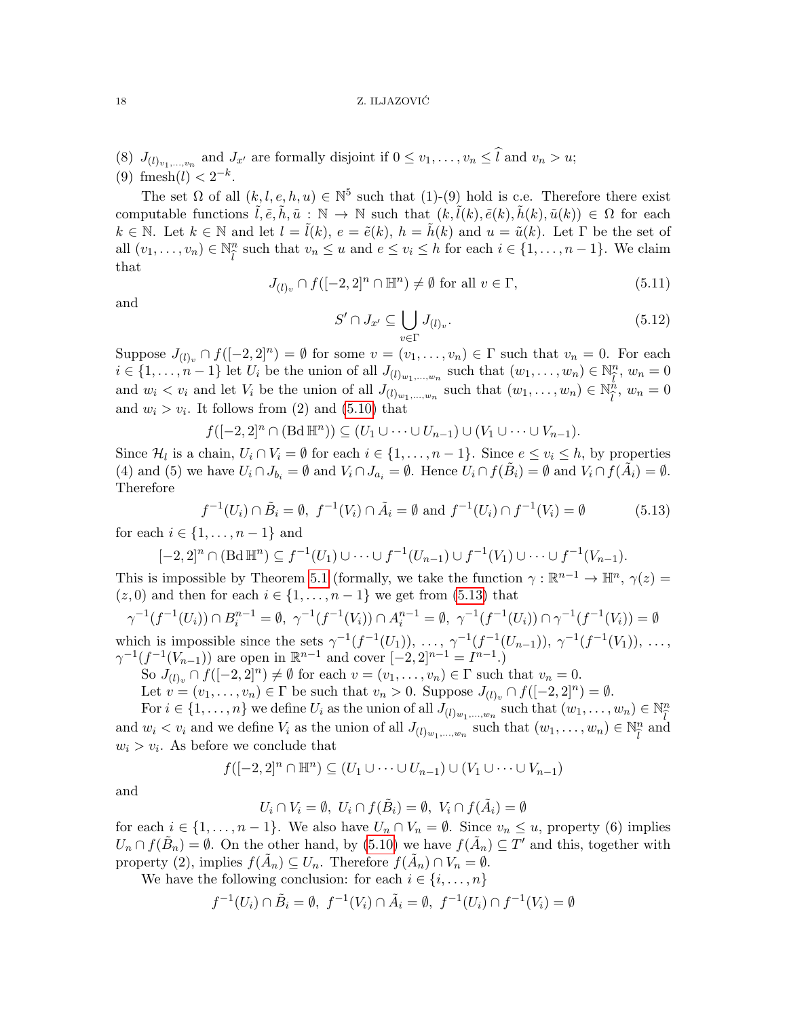#### 18 Z. ILJAZOVIC´

(8)  $J_{(l)_{v_1,\ldots,v_n}}$  and  $J_{x'}$  are formally disjoint if  $0 \le v_1,\ldots,v_n \le l$  and  $v_n > u$ ; (9) fmesh $(l) < 2^{-k}$ .

The set  $\Omega$  of all  $(k, l, e, h, u) \in \mathbb{N}^5$  such that  $(1)-(9)$  hold is c.e. Therefore there exist computable functions  $\tilde{l}, \tilde{e}, \tilde{h}, \tilde{u} : \mathbb{N} \to \mathbb{N}$  such that  $(k, \tilde{l}(k), \tilde{e}(k), h(k), \tilde{u}(k)) \in \Omega$  for each  $k \in \mathbb{N}$ . Let  $k \in \mathbb{N}$  and let  $l = \tilde{l}(k)$ ,  $e = \tilde{e}(k)$ ,  $h = \tilde{h}(k)$  and  $u = \tilde{u}(k)$ . Let  $\Gamma$  be the set of all  $(v_1, \ldots, v_n) \in \mathbb{N}_{\widehat{\tau}}^n$  $\widehat{l}$  such that  $v_n \leq u$  and  $e \leq v_i \leq h$  for each  $i \in \{1, \ldots, n-1\}$ . We claim that

<span id="page-17-1"></span>
$$
J_{(l)_v} \cap f([-2,2]^n \cap \mathbb{H}^n) \neq \emptyset \text{ for all } v \in \Gamma,
$$
\n
$$
(5.11)
$$

and

<span id="page-17-2"></span>
$$
S' \cap J_{x'} \subseteq \bigcup_{v \in \Gamma} J_{(l)_v}.\tag{5.12}
$$

Suppose  $J_{(l)_v} \cap f([-2,2]^n) = \emptyset$  for some  $v = (v_1,\ldots,v_n) \in \Gamma$  such that  $v_n = 0$ . For each  $i \in \{1, \ldots, n-1\}$  let  $U_i$  be the union of all  $J_{(l)_{w_1,\ldots,w_n}}$  such that  $(w_1,\ldots,w_n) \in \mathbb{N}_{\widehat{l}}^n$ ,  $w_n = 0$ and  $w_i < v_i$  and let  $V_i$  be the union of all  $J_{(l)_{w_1,...,w_n}}$  such that  $(w_1,...,w_n) \in \mathbb{N}_l^n$  $\binom{n}{l}$ ,  $w_n = 0$ and  $w_i > v_i$ . It follows from (2) and [\(5.10\)](#page-16-0) that

$$
f([-2,2]^n \cap (\text{Bd }\mathbb{H}^n)) \subseteq (U_1 \cup \cdots \cup U_{n-1}) \cup (V_1 \cup \cdots \cup V_{n-1}).
$$

Since  $\mathcal{H}_l$  is a chain,  $U_i \cap V_i = \emptyset$  for each  $i \in \{1, \ldots, n-1\}$ . Since  $e \le v_i \le h$ , by properties (4) and (5) we have  $U_i \cap J_{b_i} = \emptyset$  and  $V_i \cap J_{a_i} = \emptyset$ . Hence  $U_i \cap f(\tilde{B}_i) = \emptyset$  and  $V_i \cap f(\tilde{A}_i) = \emptyset$ . Therefore

<span id="page-17-0"></span>
$$
f^{-1}(U_i) \cap \tilde{B}_i = \emptyset, \ f^{-1}(V_i) \cap \tilde{A}_i = \emptyset \text{ and } f^{-1}(U_i) \cap f^{-1}(V_i) = \emptyset
$$
\n(5.13)

for each  $i \in \{1, \ldots, n-1\}$  and

$$
[-2,2]^n \cap (\text{Bd }\mathbb{H}^n) \subseteq f^{-1}(U_1) \cup \cdots \cup f^{-1}(U_{n-1}) \cup f^{-1}(V_1) \cup \cdots \cup f^{-1}(V_{n-1}).
$$

This is impossible by Theorem [5.1](#page-10-0) (formally, we take the function  $\gamma : \mathbb{R}^{n-1} \to \mathbb{H}^n$ ,  $\gamma(z) =$  $(z, 0)$  and then for each  $i \in \{1, \ldots, n-1\}$  we get from  $(5.13)$  that

$$
\gamma^{-1}(f^{-1}(U_i)) \cap B_i^{n-1} = \emptyset, \ \gamma^{-1}(f^{-1}(V_i)) \cap A_i^{n-1} = \emptyset, \ \gamma^{-1}(f^{-1}(U_i)) \cap \gamma^{-1}(f^{-1}(V_i)) = \emptyset
$$
  
which is impossible since the sets  $\gamma^{-1}(f^{-1}(U_1)), \ \dots, \ \gamma^{-1}(f^{-1}(U_{n-1})), \ \gamma^{-1}(f^{-1}(V_1)), \ \dots,$ 

 $\gamma^{-1}(f^{-1}(V_{n-1}))$  are open in  $\mathbb{R}^{n-1}$  and cover  $[-2, 2]^{n-1} = I^{n-1}$ .

So  $J_{(l)_v} \cap f([-2,2]^n) \neq \emptyset$  for each  $v = (v_1, \ldots, v_n) \in \Gamma$  such that  $v_n = 0$ .

Let  $v = (v_1, \ldots, v_n) \in \Gamma$  be such that  $v_n > 0$ . Suppose  $J_{(l)_v} \cap f([-2, 2]^n) = \emptyset$ .

For  $i \in \{1, \ldots, n\}$  we define  $U_i$  as the union of all  $J_{(l)_{w_1,\ldots,w_n}}$  such that  $(w_1,\ldots,w_n) \in \mathbb{N}_{\widehat{l}}^n$  $\int_{0}^{1}$ and  $w_i < v_i$  and we define  $V_i$  as the union of all  $J_{(l)_{w_1,...,w_n}}$  such that  $(w_1,...,w_n) \in \mathbb{N}_{\hat{l}}^n$  $\widehat{\iota}$  and  $w_i > v_i$ . As before we conclude that

$$
f([-2,2]^n \cap \mathbb{H}^n) \subseteq (U_1 \cup \cdots \cup U_{n-1}) \cup (V_1 \cup \cdots \cup V_{n-1})
$$

and

$$
U_i \cap V_i = \emptyset, \ U_i \cap f(\tilde{B}_i) = \emptyset, \ V_i \cap f(\tilde{A}_i) = \emptyset
$$

for each  $i \in \{1, \ldots, n-1\}$ . We also have  $U_n \cap V_n = \emptyset$ . Since  $v_n \leq u$ , property (6) implies  $U_n \cap f(\tilde{B}_n) = \emptyset$ . On the other hand, by [\(5.10\)](#page-16-0) we have  $f(\tilde{A}_n) \subseteq T'$  and this, together with property (2), implies  $f(\tilde{A}_n) \subseteq U_n$ . Therefore  $f(\tilde{A}_n) \cap V_n = \emptyset$ .

We have the following conclusion: for each  $i \in \{i, \ldots, n\}$ 

$$
f^{-1}(U_i) \cap \tilde{B}_i = \emptyset, \ f^{-1}(V_i) \cap \tilde{A}_i = \emptyset, \ f^{-1}(U_i) \cap f^{-1}(V_i) = \emptyset
$$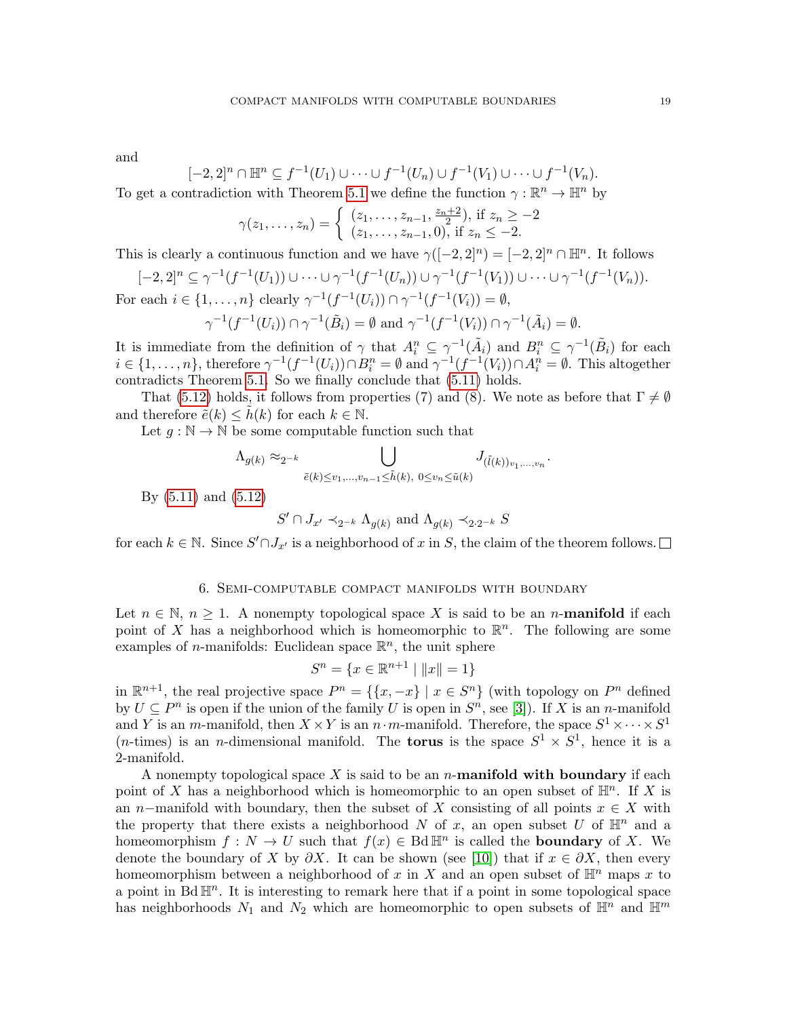and

$$
[-2,2]^n \cap \mathbb{H}^n \subseteq f^{-1}(U_1) \cup \cdots \cup f^{-1}(U_n) \cup f^{-1}(V_1) \cup \cdots \cup f^{-1}(V_n).
$$

To get a contradiction with Theorem [5.1](#page-10-0) we define the function  $\gamma : \mathbb{R}^n \to \mathbb{H}^n$  by

$$
\gamma(z_1, \ldots, z_n) = \begin{cases} (z_1, \ldots, z_{n-1}, \frac{z_n+2}{2}), \text{ if } z_n \ge -2 \\ (z_1, \ldots, z_{n-1}, 0), \text{ if } z_n \le -2. \end{cases}
$$

This is clearly a continuous function and we have  $\gamma([-2,2]^n) = [-2,2]^n \cap \mathbb{H}^n$ . It follows

$$
[-2,2]^n \subseteq \gamma^{-1}(f^{-1}(U_1)) \cup \cdots \cup \gamma^{-1}(f^{-1}(U_n)) \cup \gamma^{-1}(f^{-1}(V_1)) \cup \cdots \cup \gamma^{-1}(f^{-1}(V_n)).
$$
  
For each  $i \in \{1, ..., n\}$  clearly  $\gamma^{-1}(f^{-1}(U_i)) \cap \gamma^{-1}(f^{-1}(V_i)) = \emptyset$ ,  

$$
\gamma^{-1}(f^{-1}(U_i)) \cap \gamma^{-1}(\tilde{B}_i) = \emptyset \text{ and } \gamma^{-1}(f^{-1}(V_i)) \cap \gamma^{-1}(\tilde{A}_i) = \emptyset.
$$

It is immediate from the definition of  $\gamma$  that  $A_i^n \subseteq \gamma^{-1}(\tilde{A}_i)$  and  $B_i^n \subseteq \gamma^{-1}(\tilde{B}_i)$  for each  $i \in \{1, \ldots, n\}$ , therefore  $\gamma^{-1}(f^{-1}(U_i)) \cap B_i^n = \emptyset$  and  $\gamma^{-1}(f^{-1}(V_i)) \cap A_i^n = \emptyset$ . This altogether contradicts Theorem [5.1.](#page-10-0) So we finally conclude that [\(5.11\)](#page-17-1) holds.

That [\(5.12\)](#page-17-2) holds, it follows from properties (7) and (8). We note as before that  $\Gamma \neq \emptyset$ and therefore  $\tilde{e}(k) \leq h(k)$  for each  $k \in \mathbb{N}$ .

Let  $q : \mathbb{N} \to \mathbb{N}$  be some computable function such that

$$
\Lambda_{g(k)} \approx_{2^{-k}} \bigcup_{\tilde{e}(k) \le v_1, \dots, v_{n-1} \le \tilde{h}(k), 0 \le v_n \le \tilde{u}(k)} J_{(\tilde{l}(k))_{v_1, \dots, v_n}}.
$$

By [\(5.11\)](#page-17-1) and [\(5.12\)](#page-17-2)

$$
S' \cap J_{x'} \prec_{2^{-k}} \Lambda_{g(k)}
$$
 and  $\Lambda_{g(k)} \prec_{2 \cdot 2^{-k}} S$ 

for each  $k \in \mathbb{N}$ . Since  $S' \cap J_{x'}$  is a neighborhood of x in S, the claim of the theorem follows.

### 6. Semi-computable compact manifolds with boundary

<span id="page-18-0"></span>Let  $n \in \mathbb{N}$ ,  $n \geq 1$ . A nonempty topological space X is said to be an *n*-manifold if each point of X has a neighborhood which is homeomorphic to  $\mathbb{R}^n$ . The following are some examples of *n*-manifolds: Euclidean space  $\mathbb{R}^n$ , the unit sphere

$$
S^n = \{ x \in \mathbb{R}^{n+1} \mid ||x|| = 1 \}
$$

in  $\mathbb{R}^{n+1}$ , the real projective space  $P^n = \{ \{x, -x\} \mid x \in S^n \}$  (with topology on  $P^n$  defined by  $U \subseteq P^n$  is open if the union of the family U is open in  $S^n$ , see [\[3\]](#page-20-3)). If X is an n-manifold and Y is an m-manifold, then  $X \times Y$  is an  $n \cdot m$ -manifold. Therefore, the space  $S^1 \times \cdots \times S^1$ (*n*-times) is an *n*-dimensional manifold. The **torus** is the space  $S^1 \times S^1$ , hence it is a 2-manifold.

A nonempty topological space X is said to be an n-**manifold with boundary** if each point of X has a neighborhood which is homeomorphic to an open subset of  $\mathbb{H}^n$ . If X is an n–manifold with boundary, then the subset of X consisting of all points  $x \in X$  with the property that there exists a neighborhood N of x, an open subset U of  $\mathbb{H}^n$  and a homeomorphism  $f: N \to U$  such that  $f(x) \in \text{Bd} \mathbb{H}^n$  is called the **boundary** of X. We denote the boundary of X by  $\partial X$ . It can be shown (see [\[10\]](#page-21-9)) that if  $x \in \partial X$ , then every homeomorphism between a neighborhood of x in X and an open subset of  $\mathbb{H}^n$  maps x to a point in  $Bd\mathbb{H}^n$ . It is interesting to remark here that if a point in some topological space has neighborhoods  $N_1$  and  $N_2$  which are homeomorphic to open subsets of  $\mathbb{H}^n$  and  $\mathbb{H}^m$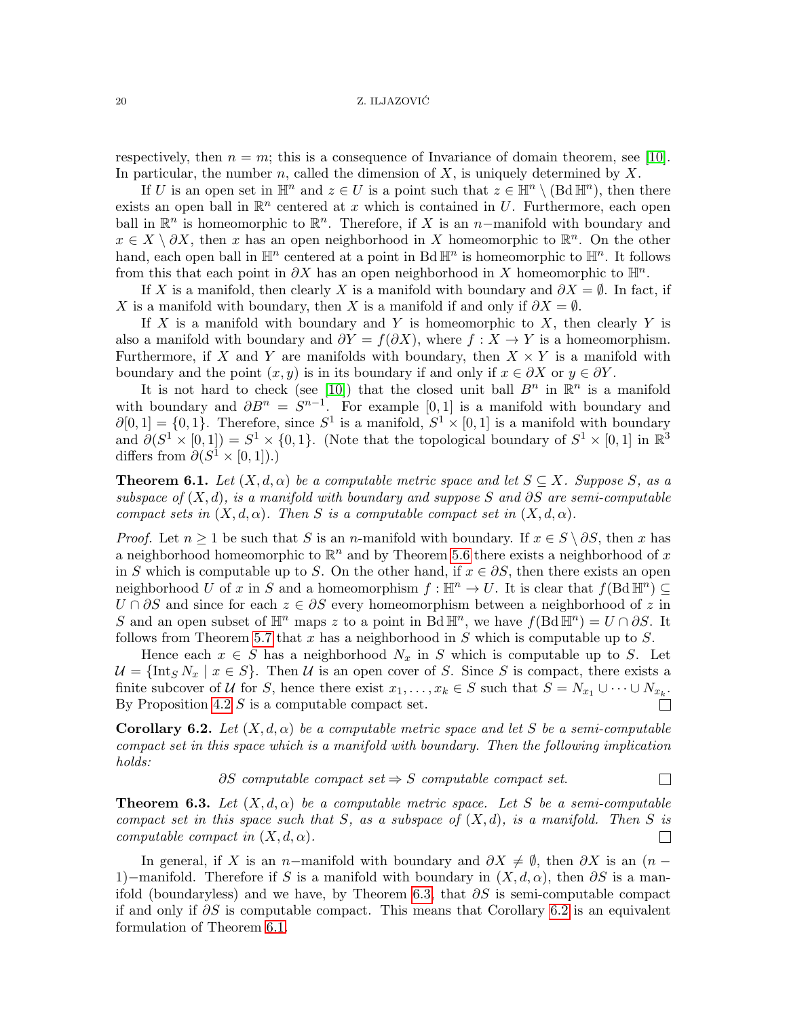respectively, then  $n = m$ ; this is a consequence of Invariance of domain theorem, see [\[10\]](#page-21-9). In particular, the number n, called the dimension of  $X$ , is uniquely determined by  $X$ .

If U is an open set in  $\mathbb{H}^n$  and  $z \in U$  is a point such that  $z \in \mathbb{H}^n \setminus (\text{Bd } \mathbb{H}^n)$ , then there exists an open ball in  $\mathbb{R}^n$  centered at x which is contained in U. Furthermore, each open ball in  $\mathbb{R}^n$  is homeomorphic to  $\mathbb{R}^n$ . Therefore, if X is an n-manifold with boundary and  $x \in X \setminus \partial X$ , then x has an open neighborhood in X homeomorphic to  $\mathbb{R}^n$ . On the other hand, each open ball in  $\mathbb{H}^n$  centered at a point in Bd  $\mathbb{H}^n$  is homeomorphic to  $\mathbb{H}^n$ . It follows from this that each point in  $\partial X$  has an open neighborhood in X homeomorphic to  $\mathbb{H}^n$ .

If X is a manifold, then clearly X is a manifold with boundary and  $\partial X = \emptyset$ . In fact, if X is a manifold with boundary, then X is a manifold if and only if  $\partial X = \emptyset$ .

If X is a manifold with boundary and Y is homeomorphic to X, then clearly Y is also a manifold with boundary and  $\partial Y = f(\partial X)$ , where  $f: X \to Y$  is a homeomorphism. Furthermore, if X and Y are manifolds with boundary, then  $X \times Y$  is a manifold with boundary and the point  $(x, y)$  is in its boundary if and only if  $x \in \partial X$  or  $y \in \partial Y$ .

It is not hard to check (see [\[10\]](#page-21-9)) that the closed unit ball  $B^n$  in  $\mathbb{R}^n$  is a manifold with boundary and  $\partial B^n = S^{n-1}$ . For example [0,1] is a manifold with boundary and  $\partial[0,1] = \{0,1\}$ . Therefore, since  $S^1$  is a manifold,  $S^1 \times [0,1]$  is a manifold with boundary and  $\partial(S^1 \times [0,1]) = S^1 \times \{0,1\}$ . (Note that the topological boundary of  $S^1 \times [0,1]$  in  $\mathbb{R}^3$ differs from  $\partial(S^1 \times [0,1])$ .)

<span id="page-19-2"></span>**Theorem 6.1.** Let  $(X, d, \alpha)$  be a computable metric space and let  $S \subseteq X$ . Suppose S, as a subspace of  $(X, d)$ , is a manifold with boundary and suppose S and ∂S are semi-computable compact sets in  $(X, d, \alpha)$ . Then S is a computable compact set in  $(X, d, \alpha)$ .

*Proof.* Let  $n \geq 1$  be such that S is an n-manifold with boundary. If  $x \in S \setminus \partial S$ , then x has a neighborhood homeomorphic to  $\mathbb{R}^n$  and by Theorem [5.6](#page-12-0) there exists a neighborhood of x in S which is computable up to S. On the other hand, if  $x \in \partial S$ , then there exists an open neighborhood U of x in S and a homeomorphism  $f: \mathbb{H}^n \to U$ . It is clear that  $f(\text{Bd } \mathbb{H}^n) \subseteq$  $U \cap \partial S$  and since for each  $z \in \partial S$  every homeomorphism between a neighborhood of z in S and an open subset of  $\mathbb{H}^n$  maps z to a point in  $\text{Bd}\,\mathbb{H}^n$ , we have  $f(\text{Bd}\,\mathbb{H}^n) = U \cap \partial S$ . It follows from Theorem [5.7](#page-15-1) that x has a neighborhood in  $S$  which is computable up to  $S$ .

Hence each  $x \in S$  has a neighborhood  $N_x$  in S which is computable up to S. Let  $\mathcal{U} = {\text{Int}_S N_x \mid x \in S}.$  Then U is an open cover of S. Since S is compact, there exists a finite subcover of U for S, hence there exist  $x_1, \ldots, x_k \in S$  such that  $S = N_{x_1} \cup \cdots \cup N_{x_k}$ . By Proposition [4.2](#page-9-3)  $S$  is a computable compact set.  $\Box$ 

<span id="page-19-1"></span>**Corollary 6.2.** Let  $(X, d, \alpha)$  be a computable metric space and let S be a semi-computable compact set in this space which is a manifold with boundary. Then the following implication holds:

$$
\partial S
$$
 computable compact set  $\Rightarrow$  S computable compact set.

 $\Box$ 

<span id="page-19-0"></span>**Theorem 6.3.** Let  $(X, d, \alpha)$  be a computable metric space. Let S be a semi-computable compact set in this space such that S, as a subspace of  $(X,d)$ , is a manifold. Then S is computable compact in  $(X, d, \alpha)$ .  $\Box$ 

In general, if X is an n−manifold with boundary and  $\partial X \neq \emptyset$ , then  $\partial X$  is an  $(n -$ 1)−manifold. Therefore if S is a manifold with boundary in  $(X, d, \alpha)$ , then  $\partial S$  is a man-ifold (boundaryless) and we have, by Theorem [6.3,](#page-19-0) that  $\partial S$  is semi-computable compact if and only if  $\partial S$  is computable compact. This means that Corollary [6.2](#page-19-1) is an equivalent formulation of Theorem [6.1.](#page-19-2)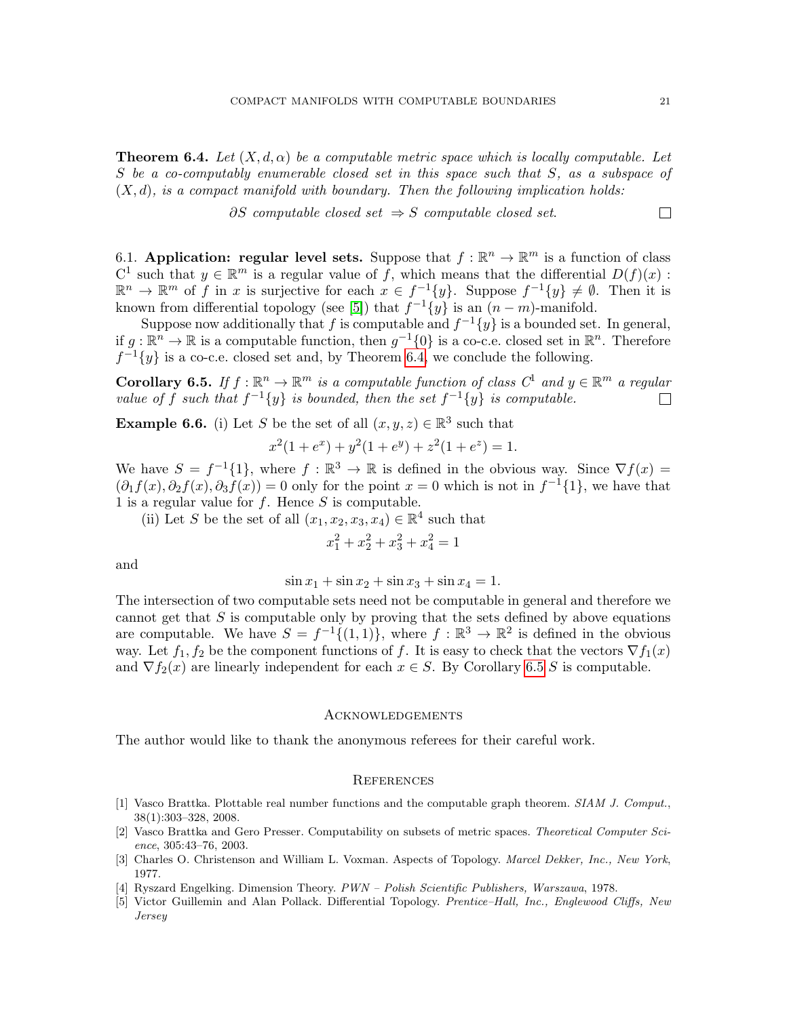<span id="page-20-5"></span>**Theorem 6.4.** Let  $(X, d, \alpha)$  be a computable metric space which is locally computable. Let S be a co-computably enumerable closed set in this space such that S, as a subspace of  $(X, d)$ , is a compact manifold with boundary. Then the following implication holds:

$$
\partial S \text{ computable closed set } \Rightarrow S \text{ computable closed set. } \square
$$

6.1. Application: regular level sets. Suppose that  $f : \mathbb{R}^n \to \mathbb{R}^m$  is a function of class  $C^1$  such that  $y \in \mathbb{R}^m$  is a regular value of f, which means that the differential  $D(f)(x)$ :  $\mathbb{R}^n \to \mathbb{R}^m$  of f in x is surjective for each  $x \in f^{-1}{y}$ . Suppose  $f^{-1}{y} \neq \emptyset$ . Then it is known from differential topology (see [\[5\]](#page-20-4)) that  $f^{-1}{y}$  is an  $(n - m)$ -manifold.

Suppose now additionally that f is computable and  $f^{-1}{y}$  is a bounded set. In general, if  $g : \mathbb{R}^n \to \mathbb{R}$  is a computable function, then  $g^{-1}\{0\}$  is a co-c.e. closed set in  $\mathbb{R}^n$ . Therefore  $f^{-1}{y}$  is a co-c.e. closed set and, by Theorem [6.4,](#page-20-5) we conclude the following.

<span id="page-20-6"></span>**Corollary 6.5.** If  $f : \mathbb{R}^n \to \mathbb{R}^m$  is a computable function of class  $C^1$  and  $y \in \mathbb{R}^m$  a regular value of f such that  $f^{-1}{y}$  is bounded, then the set  $f^{-1}{y}$  is computable.  $\Box$ 

**Example 6.6.** (i) Let S be the set of all  $(x, y, z) \in \mathbb{R}^3$  such that

$$
x^{2}(1 + e^{x}) + y^{2}(1 + e^{y}) + z^{2}(1 + e^{z}) = 1.
$$

We have  $S = f^{-1}{1}$ , where  $f : \mathbb{R}^3 \to \mathbb{R}$  is defined in the obvious way. Since  $\nabla f(x) =$  $(\partial_1 f(x), \partial_2 f(x), \partial_3 f(x)) = 0$  only for the point  $x = 0$  which is not in  $f^{-1}{1}$ , we have that 1 is a regular value for  $f$ . Hence  $S$  is computable.

(ii) Let S be the set of all  $(x_1, x_2, x_3, x_4) \in \mathbb{R}^4$  such that

$$
x_1^2 + x_2^2 + x_3^2 + x_4^2 = 1
$$

and

$$
\sin x_1 + \sin x_2 + \sin x_3 + \sin x_4 = 1.
$$

The intersection of two computable sets need not be computable in general and therefore we cannot get that  $S$  is computable only by proving that the sets defined by above equations are computable. We have  $S = f^{-1}\{(1,1)\}\$ , where  $f : \mathbb{R}^3 \to \mathbb{R}^2$  is defined in the obvious way. Let  $f_1, f_2$  be the component functions of f. It is easy to check that the vectors  $\nabla f_1(x)$ and  $\nabla f_2(x)$  are linearly independent for each  $x \in S$ . By Corollary [6.5](#page-20-6) S is computable.

### Acknowledgements

The author would like to thank the anonymous referees for their careful work.

#### **REFERENCES**

- <span id="page-20-0"></span>[1] Vasco Brattka. Plottable real number functions and the computable graph theorem. SIAM J. Comput., 38(1):303–328, 2008.
- <span id="page-20-1"></span>[2] Vasco Brattka and Gero Presser. Computability on subsets of metric spaces. Theoretical Computer Science, 305:43–76, 2003.
- <span id="page-20-3"></span>[3] Charles O. Christenson and William L. Voxman. Aspects of Topology. Marcel Dekker, Inc., New York, 1977.
- <span id="page-20-2"></span>[4] Ryszard Engelking. Dimension Theory. PWN – Polish Scientific Publishers, Warszawa, 1978.
- <span id="page-20-4"></span>[5] Victor Guillemin and Alan Pollack. Differential Topology. Prentice–Hall, Inc., Englewood Cliffs, New Jersey